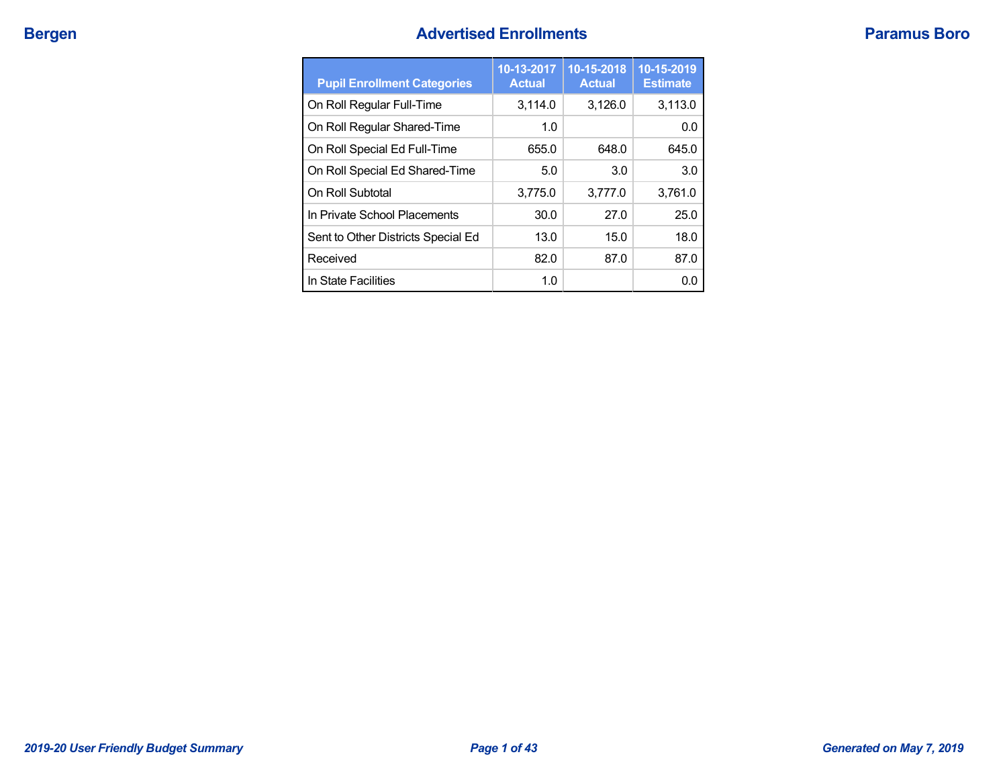## **Bergen Advertised Enrollments Paramus Boro**

| <b>Pupil Enrollment Categories</b> | 10-13-2017<br><b>Actual</b> | 10-15-2018<br><b>Actual</b> | 10-15-2019<br><b>Estimate</b> |
|------------------------------------|-----------------------------|-----------------------------|-------------------------------|
| On Roll Regular Full-Time          | 3,114.0                     | 3,126.0                     | 3,113.0                       |
| On Roll Regular Shared-Time        | 1.0                         |                             | 0.0                           |
| On Roll Special Ed Full-Time       | 655.0                       | 648.0                       | 645.0                         |
| On Roll Special Ed Shared-Time     | 5.0                         | 3.0                         | 3.0                           |
| On Roll Subtotal                   | 3,775.0                     | 3,777.0                     | 3,761.0                       |
| In Private School Placements       | 30.0                        | 27.0                        | 25.0                          |
| Sent to Other Districts Special Ed | 13.0                        | 15.0                        | 18.0                          |
| Received                           | 82.0                        | 87.0                        | 87.0                          |
| In State Facilities                | 1.0                         |                             | 0.0                           |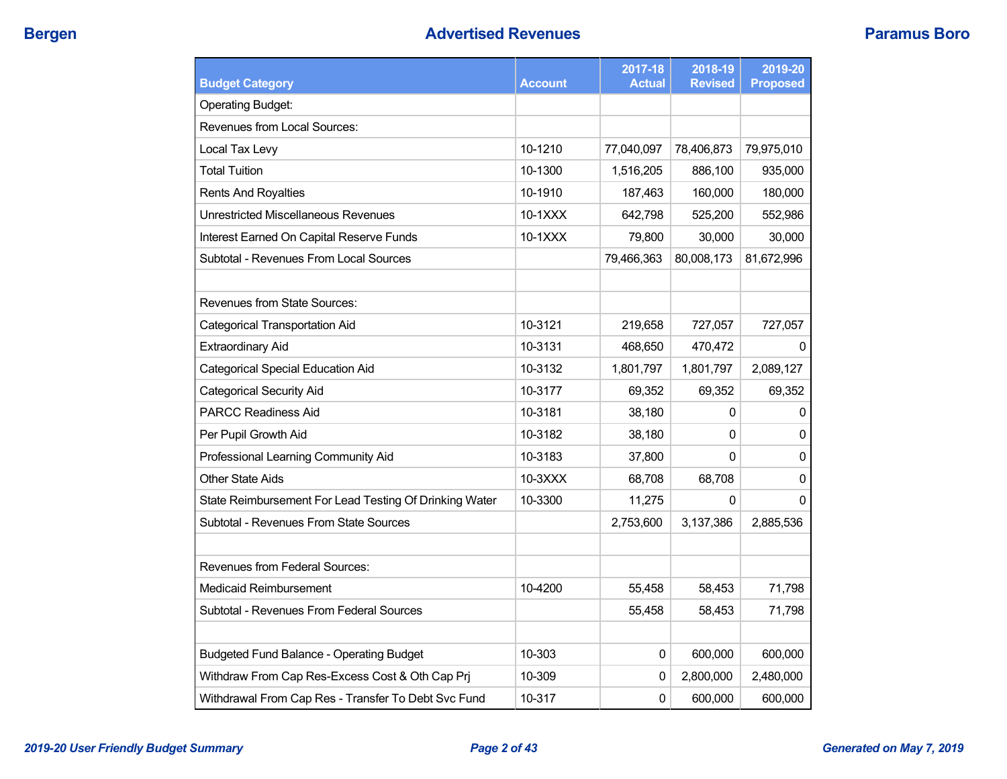| <b>Budget Category</b>                                 | <b>Account</b> | 2017-18<br><b>Actual</b> | 2018-19<br><b>Revised</b> | 2019-20<br><b>Proposed</b> |
|--------------------------------------------------------|----------------|--------------------------|---------------------------|----------------------------|
| <b>Operating Budget:</b>                               |                |                          |                           |                            |
| Revenues from Local Sources:                           |                |                          |                           |                            |
| Local Tax Levy                                         | 10-1210        | 77,040,097               | 78,406,873                | 79,975,010                 |
| <b>Total Tuition</b>                                   | 10-1300        | 1,516,205                | 886,100                   | 935,000                    |
| <b>Rents And Royalties</b>                             | 10-1910        | 187,463                  | 160,000                   | 180,000                    |
| <b>Unrestricted Miscellaneous Revenues</b>             | 10-1XXX        | 642,798                  | 525,200                   | 552,986                    |
| Interest Earned On Capital Reserve Funds               | 10-1XXX        | 79,800                   | 30,000                    | 30,000                     |
| Subtotal - Revenues From Local Sources                 |                | 79,466,363               | 80,008,173                | 81,672,996                 |
|                                                        |                |                          |                           |                            |
| <b>Revenues from State Sources:</b>                    |                |                          |                           |                            |
| Categorical Transportation Aid                         | 10-3121        | 219,658                  | 727,057                   | 727,057                    |
| <b>Extraordinary Aid</b>                               | 10-3131        | 468,650                  | 470,472                   | 0                          |
| <b>Categorical Special Education Aid</b>               | 10-3132        | 1,801,797                | 1,801,797                 | 2,089,127                  |
| Categorical Security Aid                               | 10-3177        | 69,352                   | 69,352                    | 69,352                     |
| <b>PARCC Readiness Aid</b>                             | 10-3181        | 38,180                   | 0                         | 0                          |
| Per Pupil Growth Aid                                   | 10-3182        | 38,180                   | 0                         | 0                          |
| Professional Learning Community Aid                    | 10-3183        | 37,800                   | 0                         | $\mathbf{0}$               |
| <b>Other State Aids</b>                                | 10-3XXX        | 68,708                   | 68,708                    | 0                          |
| State Reimbursement For Lead Testing Of Drinking Water | 10-3300        | 11,275                   | 0                         | 0                          |
| <b>Subtotal - Revenues From State Sources</b>          |                | 2,753,600                | 3,137,386                 | 2,885,536                  |
|                                                        |                |                          |                           |                            |
| Revenues from Federal Sources:                         |                |                          |                           |                            |
| Medicaid Reimbursement                                 | 10-4200        | 55,458                   | 58,453                    | 71,798                     |
| Subtotal - Revenues From Federal Sources               |                | 55,458                   | 58,453                    | 71,798                     |
|                                                        |                |                          |                           |                            |
| <b>Budgeted Fund Balance - Operating Budget</b>        | 10-303         | 0                        | 600,000                   | 600,000                    |
| Withdraw From Cap Res-Excess Cost & Oth Cap Prj        | 10-309         | 0                        | 2,800,000                 | 2,480,000                  |
| Withdrawal From Cap Res - Transfer To Debt Svc Fund    | 10-317         | $\pmb{0}$                | 600,000                   | 600,000                    |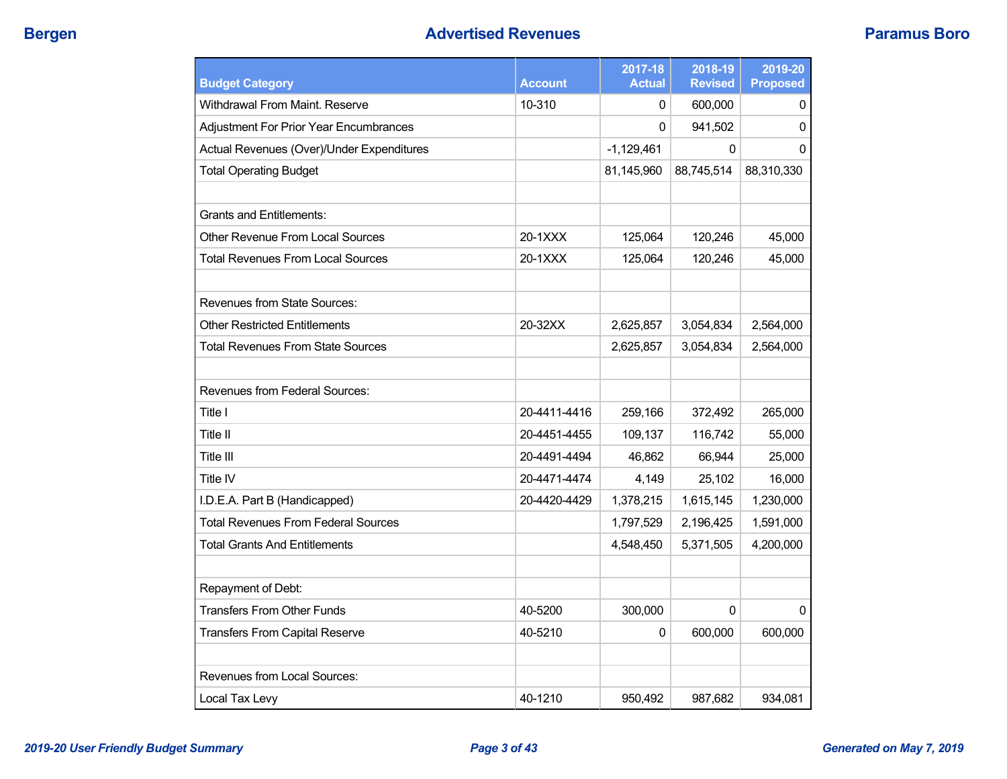| <b>Budget Category</b>                     | <b>Account</b> | 2017-18<br><b>Actual</b> | 2018-19<br><b>Revised</b> | 2019-20<br><b>Proposed</b> |
|--------------------------------------------|----------------|--------------------------|---------------------------|----------------------------|
| Withdrawal From Maint. Reserve             | 10-310         | 0                        | 600,000                   | 0                          |
| Adjustment For Prior Year Encumbrances     |                | 0                        | 941,502                   | $\Omega$                   |
| Actual Revenues (Over)/Under Expenditures  |                | $-1,129,461$             | 0                         | 0                          |
| <b>Total Operating Budget</b>              |                | 81,145,960               | 88,745,514                | 88,310,330                 |
|                                            |                |                          |                           |                            |
| <b>Grants and Entitlements:</b>            |                |                          |                           |                            |
| Other Revenue From Local Sources           | 20-1XXX        | 125,064                  | 120,246                   | 45,000                     |
| <b>Total Revenues From Local Sources</b>   | 20-1XXX        | 125,064                  | 120,246                   | 45,000                     |
| <b>Revenues from State Sources:</b>        |                |                          |                           |                            |
| Other Restricted Entitlements              | 20-32XX        | 2,625,857                | 3,054,834                 | 2,564,000                  |
| Total Revenues From State Sources          |                | 2,625,857                | 3,054,834                 | 2,564,000                  |
|                                            |                |                          |                           |                            |
| <b>Revenues from Federal Sources:</b>      |                |                          |                           |                            |
| Title I                                    | 20-4411-4416   | 259,166                  | 372,492                   | 265,000                    |
| Title II                                   | 20-4451-4455   | 109,137                  | 116,742                   | 55,000                     |
| Title III                                  | 20-4491-4494   | 46,862                   | 66,944                    | 25,000                     |
| Title IV                                   | 20-4471-4474   | 4,149                    | 25,102                    | 16,000                     |
| I.D.E.A. Part B (Handicapped)              | 20-4420-4429   | 1,378,215                | 1,615,145                 | 1,230,000                  |
| <b>Total Revenues From Federal Sources</b> |                | 1,797,529                | 2,196,425                 | 1,591,000                  |
| Total Grants And Entitlements              |                | 4,548,450                | 5,371,505                 | 4,200,000                  |
| Repayment of Debt:                         |                |                          |                           |                            |
| <b>Transfers From Other Funds</b>          | 40-5200        | 300,000                  | 0                         | $\mathbf 0$                |
| <b>Transfers From Capital Reserve</b>      | 40-5210        | 0                        | 600,000                   | 600,000                    |
|                                            |                |                          |                           |                            |
| Revenues from Local Sources:               |                |                          |                           |                            |
| Local Tax Levy                             | 40-1210        | 950.492                  | 987.682                   | 934,081                    |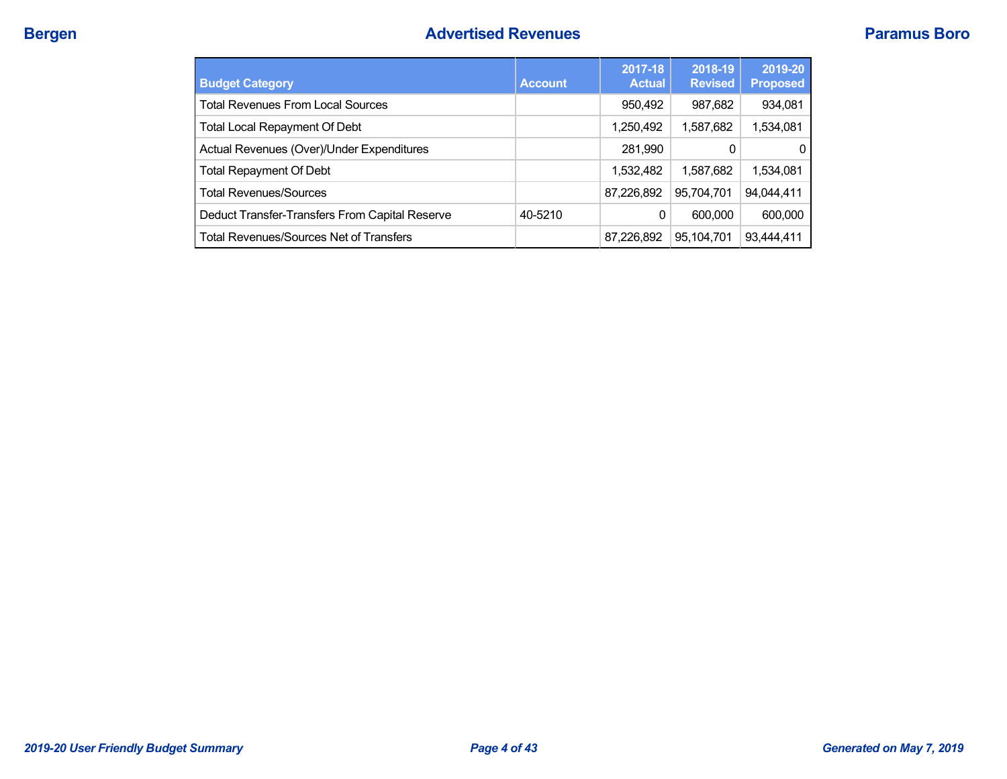| <b>Budget Category</b>                         | <b>Account</b> | 2017-18<br><b>Actual</b> | 2018-19<br><b>Revised</b> | 2019-20<br><b>Proposed</b> |
|------------------------------------------------|----------------|--------------------------|---------------------------|----------------------------|
| <b>Total Revenues From Local Sources</b>       |                | 950,492                  | 987,682                   | 934,081                    |
| <b>Total Local Repayment Of Debt</b>           |                | 1,250,492                | 1,587,682                 | 1,534,081                  |
| Actual Revenues (Over)/Under Expenditures      |                | 281,990                  | 0                         | 0                          |
| <b>Total Repayment Of Debt</b>                 |                | 1,532,482                | 1.587.682                 | 1,534,081                  |
| <b>Total Revenues/Sources</b>                  |                | 87,226,892               | 95,704,701                | 94,044,411                 |
| Deduct Transfer-Transfers From Capital Reserve | 40-5210        | 0                        | 600,000                   | 600,000                    |
| <b>Total Revenues/Sources Net of Transfers</b> |                | 87,226,892               | 95,104,701                | 93,444,411                 |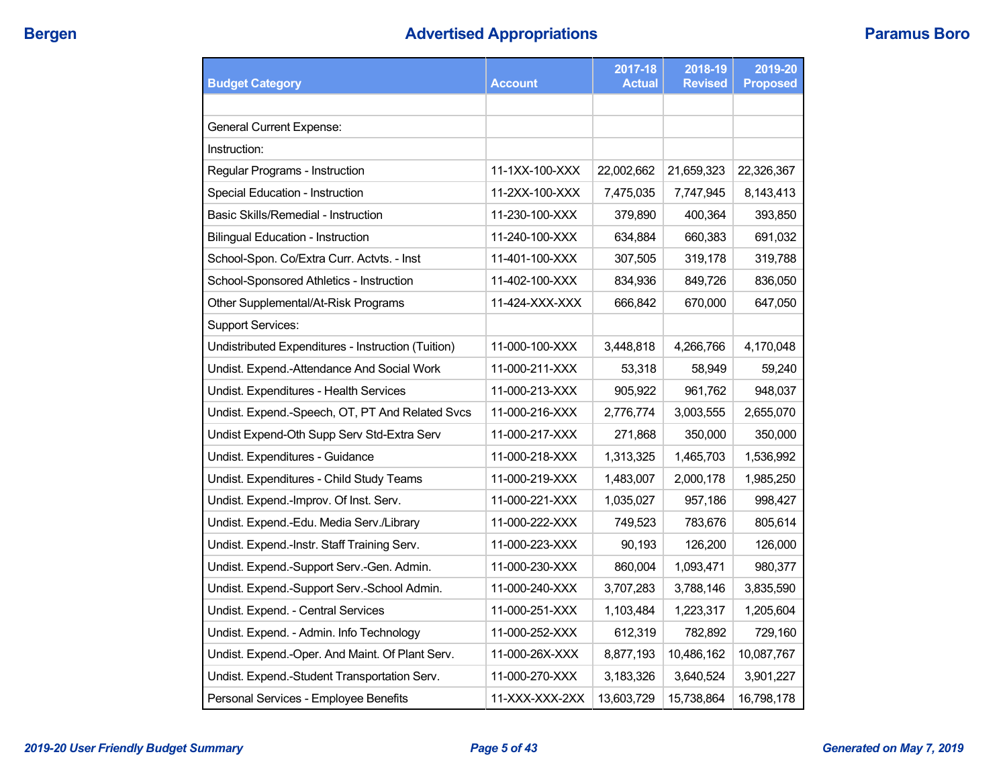# **Bergen Advertised Appropriations Paramus Boro**

| <b>Budget Category</b>                             | <b>Account</b> | 2017-18<br><b>Actual</b> | 2018-19<br><b>Revised</b> | 2019-20<br><b>Proposed</b> |
|----------------------------------------------------|----------------|--------------------------|---------------------------|----------------------------|
|                                                    |                |                          |                           |                            |
| <b>General Current Expense:</b>                    |                |                          |                           |                            |
| Instruction:                                       |                |                          |                           |                            |
| Regular Programs - Instruction                     | 11-1XX-100-XXX | 22,002,662               | 21,659,323                | 22,326,367                 |
| Special Education - Instruction                    | 11-2XX-100-XXX | 7,475,035                | 7,747,945                 | 8,143,413                  |
| Basic Skills/Remedial - Instruction                | 11-230-100-XXX | 379,890                  | 400,364                   | 393,850                    |
| <b>Bilingual Education - Instruction</b>           | 11-240-100-XXX | 634,884                  | 660,383                   | 691,032                    |
| School-Spon. Co/Extra Curr. Actvts. - Inst         | 11-401-100-XXX | 307,505                  | 319,178                   | 319,788                    |
| School-Sponsored Athletics - Instruction           | 11-402-100-XXX | 834,936                  | 849,726                   | 836,050                    |
| Other Supplemental/At-Risk Programs                | 11-424-XXX-XXX | 666,842                  | 670,000                   | 647,050                    |
| <b>Support Services:</b>                           |                |                          |                           |                            |
| Undistributed Expenditures - Instruction (Tuition) | 11-000-100-XXX | 3,448,818                | 4,266,766                 | 4,170,048                  |
| Undist. Expend.-Attendance And Social Work         | 11-000-211-XXX | 53,318                   | 58,949                    | 59,240                     |
| Undist. Expenditures - Health Services             | 11-000-213-XXX | 905,922                  | 961,762                   | 948,037                    |
| Undist. Expend.-Speech, OT, PT And Related Svcs    | 11-000-216-XXX | 2,776,774                | 3,003,555                 | 2,655,070                  |
| Undist Expend-Oth Supp Serv Std-Extra Serv         | 11-000-217-XXX | 271,868                  | 350,000                   | 350,000                    |
| Undist. Expenditures - Guidance                    | 11-000-218-XXX | 1,313,325                | 1,465,703                 | 1,536,992                  |
| Undist. Expenditures - Child Study Teams           | 11-000-219-XXX | 1,483,007                | 2,000,178                 | 1,985,250                  |
| Undist. Expend.-Improv. Of Inst. Serv.             | 11-000-221-XXX | 1,035,027                | 957,186                   | 998,427                    |
| Undist. Expend.-Edu. Media Serv./Library           | 11-000-222-XXX | 749,523                  | 783,676                   | 805,614                    |
| Undist. Expend.-Instr. Staff Training Serv.        | 11-000-223-XXX | 90,193                   | 126,200                   | 126,000                    |
| Undist. Expend.-Support Serv.-Gen. Admin.          | 11-000-230-XXX | 860,004                  | 1,093,471                 | 980,377                    |
| Undist. Expend.-Support Serv.-School Admin.        | 11-000-240-XXX | 3,707,283                | 3,788,146                 | 3,835,590                  |
| Undist. Expend. - Central Services                 | 11-000-251-XXX | 1,103,484                | 1,223,317                 | 1,205,604                  |
| Undist. Expend. - Admin. Info Technology           | 11-000-252-XXX | 612,319                  | 782,892                   | 729,160                    |
| Undist. Expend.-Oper. And Maint. Of Plant Serv.    | 11-000-26X-XXX | 8,877,193                | 10,486,162                | 10,087,767                 |
| Undist. Expend.-Student Transportation Serv.       | 11-000-270-XXX | 3,183,326                | 3,640,524                 | 3,901,227                  |
| Personal Services - Employee Benefits              | 11-XXX-XXX-2XX | 13,603,729               | 15,738,864                | 16,798,178                 |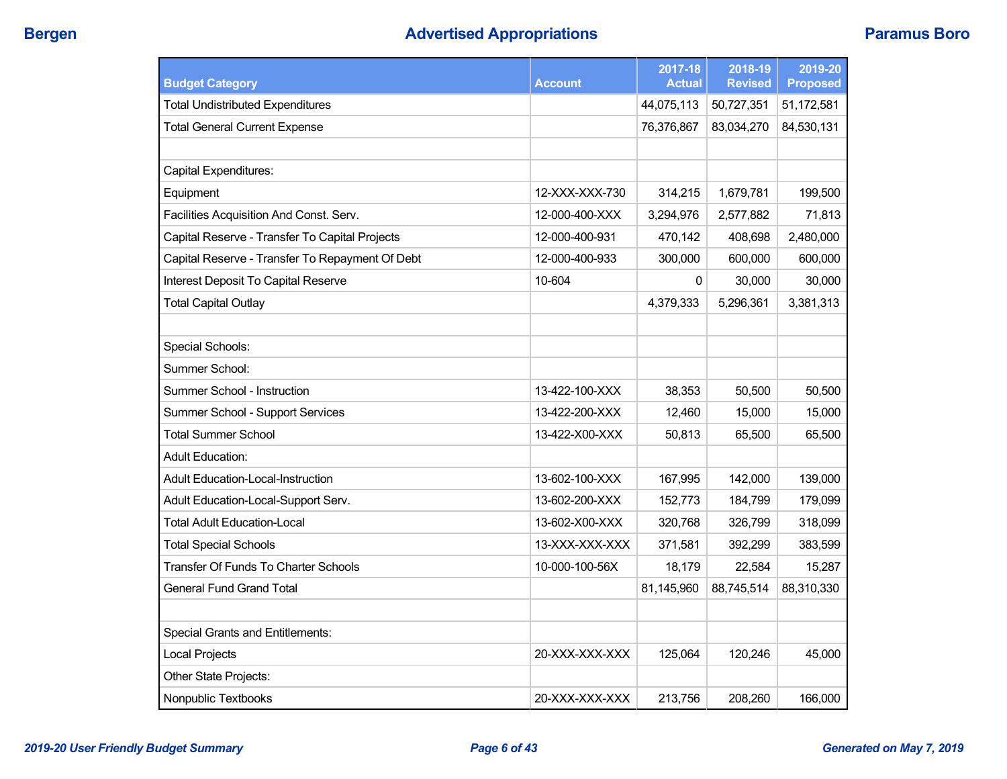# **Bergen Advertised Appropriations Paramus Boro**

| <b>Budget Category</b>                          | <b>Account</b> | 2017-18<br><b>Actual</b> | 2018-19<br><b>Revised</b> | 2019-20<br><b>Proposed</b> |
|-------------------------------------------------|----------------|--------------------------|---------------------------|----------------------------|
| <b>Total Undistributed Expenditures</b>         |                | 44,075,113               | 50,727,351                | 51,172,581                 |
| <b>Total General Current Expense</b>            |                | 76,376,867               | 83,034,270                | 84,530,131                 |
|                                                 |                |                          |                           |                            |
| Capital Expenditures:                           |                |                          |                           |                            |
| Equipment                                       | 12-XXX-XXX-730 | 314,215                  | 1,679,781                 | 199,500                    |
| Facilities Acquisition And Const. Serv.         | 12-000-400-XXX | 3,294,976                | 2,577,882                 | 71,813                     |
| Capital Reserve - Transfer To Capital Projects  | 12-000-400-931 | 470,142                  | 408,698                   | 2,480,000                  |
| Capital Reserve - Transfer To Repayment Of Debt | 12-000-400-933 | 300,000                  | 600,000                   | 600,000                    |
| Interest Deposit To Capital Reserve             | 10-604         | 0                        | 30,000                    | 30,000                     |
| <b>Total Capital Outlay</b>                     |                | 4,379,333                | 5,296,361                 | 3,381,313                  |
|                                                 |                |                          |                           |                            |
| Special Schools:                                |                |                          |                           |                            |
| Summer School:                                  |                |                          |                           |                            |
| Summer School - Instruction                     | 13-422-100-XXX | 38,353                   | 50,500                    | 50,500                     |
| Summer School - Support Services                | 13-422-200-XXX | 12,460                   | 15,000                    | 15,000                     |
| <b>Total Summer School</b>                      | 13-422-X00-XXX | 50,813                   | 65,500                    | 65,500                     |
| <b>Adult Education:</b>                         |                |                          |                           |                            |
| <b>Adult Education-Local-Instruction</b>        | 13-602-100-XXX | 167,995                  | 142,000                   | 139,000                    |
| Adult Education-Local-Support Serv.             | 13-602-200-XXX | 152,773                  | 184,799                   | 179,099                    |
| Total Adult Education-Local                     | 13-602-X00-XXX | 320,768                  | 326,799                   | 318,099                    |
| <b>Total Special Schools</b>                    | 13-XXX-XXX-XXX | 371,581                  | 392,299                   | 383,599                    |
| <b>Transfer Of Funds To Charter Schools</b>     | 10-000-100-56X | 18,179                   | 22,584                    | 15,287                     |
| <b>General Fund Grand Total</b>                 |                | 81,145,960               | 88,745,514                | 88,310,330                 |
|                                                 |                |                          |                           |                            |
| <b>Special Grants and Entitlements:</b>         |                |                          |                           |                            |
| <b>Local Projects</b>                           | 20-XXX-XXX-XXX | 125,064                  | 120,246                   | 45,000                     |
| Other State Projects:                           |                |                          |                           |                            |
| Nonpublic Textbooks                             | 20-XXX-XXX-XXX | 213,756                  | 208,260                   | 166,000                    |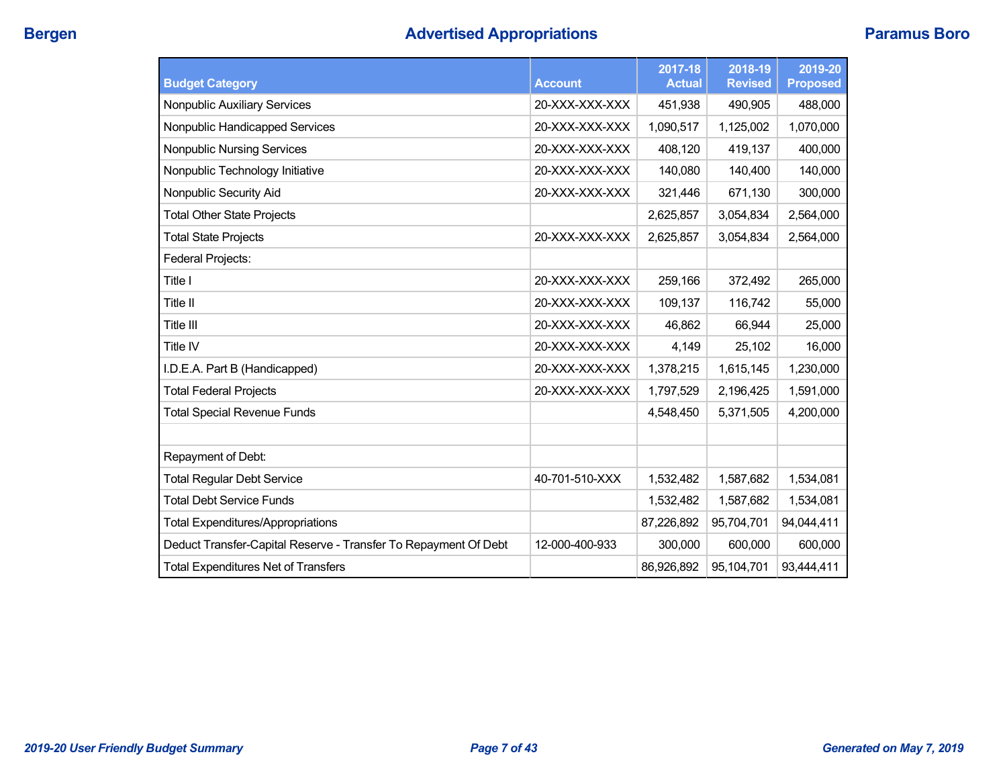| <b>Budget Category</b>                                          | <b>Account</b> | 2017-18<br><b>Actual</b> | 2018-19<br><b>Revised</b> | 2019-20<br><b>Proposed</b> |
|-----------------------------------------------------------------|----------------|--------------------------|---------------------------|----------------------------|
| Nonpublic Auxiliary Services                                    | 20-XXX-XXX-XXX | 451,938                  | 490,905                   | 488,000                    |
| Nonpublic Handicapped Services                                  | 20-XXX-XXX-XXX | 1,090,517                | 1,125,002                 | 1,070,000                  |
| <b>Nonpublic Nursing Services</b>                               | 20-XXX-XXX-XXX | 408,120                  | 419,137                   | 400,000                    |
| Nonpublic Technology Initiative                                 | 20-XXX-XXX-XXX | 140,080                  | 140,400                   | 140,000                    |
| Nonpublic Security Aid                                          | 20-XXX-XXX-XXX | 321,446                  | 671,130                   | 300,000                    |
| <b>Total Other State Projects</b>                               |                | 2,625,857                | 3,054,834                 | 2,564,000                  |
| <b>Total State Projects</b>                                     | 20-XXX-XXX-XXX | 2,625,857                | 3,054,834                 | 2,564,000                  |
| <b>Federal Projects:</b>                                        |                |                          |                           |                            |
| Title I                                                         | 20-XXX-XXX-XXX | 259,166                  | 372,492                   | 265,000                    |
| Title II                                                        | 20-XXX-XXX-XXX | 109,137                  | 116,742                   | 55,000                     |
| Title III                                                       | 20-XXX-XXX-XXX | 46,862                   | 66,944                    | 25,000                     |
| Title IV                                                        | 20-XXX-XXX-XXX | 4,149                    | 25,102                    | 16,000                     |
| I.D.E.A. Part B (Handicapped)                                   | 20-XXX-XXX-XXX | 1,378,215                | 1,615,145                 | 1,230,000                  |
| <b>Total Federal Projects</b>                                   | 20-XXX-XXX-XXX | 1,797,529                | 2,196,425                 | 1,591,000                  |
| <b>Total Special Revenue Funds</b>                              |                | 4,548,450                | 5,371,505                 | 4,200,000                  |
|                                                                 |                |                          |                           |                            |
| Repayment of Debt:                                              |                |                          |                           |                            |
| <b>Total Regular Debt Service</b>                               | 40-701-510-XXX | 1,532,482                | 1,587,682                 | 1,534,081                  |
| <b>Total Debt Service Funds</b>                                 |                | 1,532,482                | 1,587,682                 | 1,534,081                  |
| <b>Total Expenditures/Appropriations</b>                        |                | 87,226,892               | 95,704,701                | 94,044,411                 |
| Deduct Transfer-Capital Reserve - Transfer To Repayment Of Debt | 12-000-400-933 | 300,000                  | 600,000                   | 600,000                    |
| <b>Total Expenditures Net of Transfers</b>                      |                | 86,926,892               | 95,104,701                | 93,444,411                 |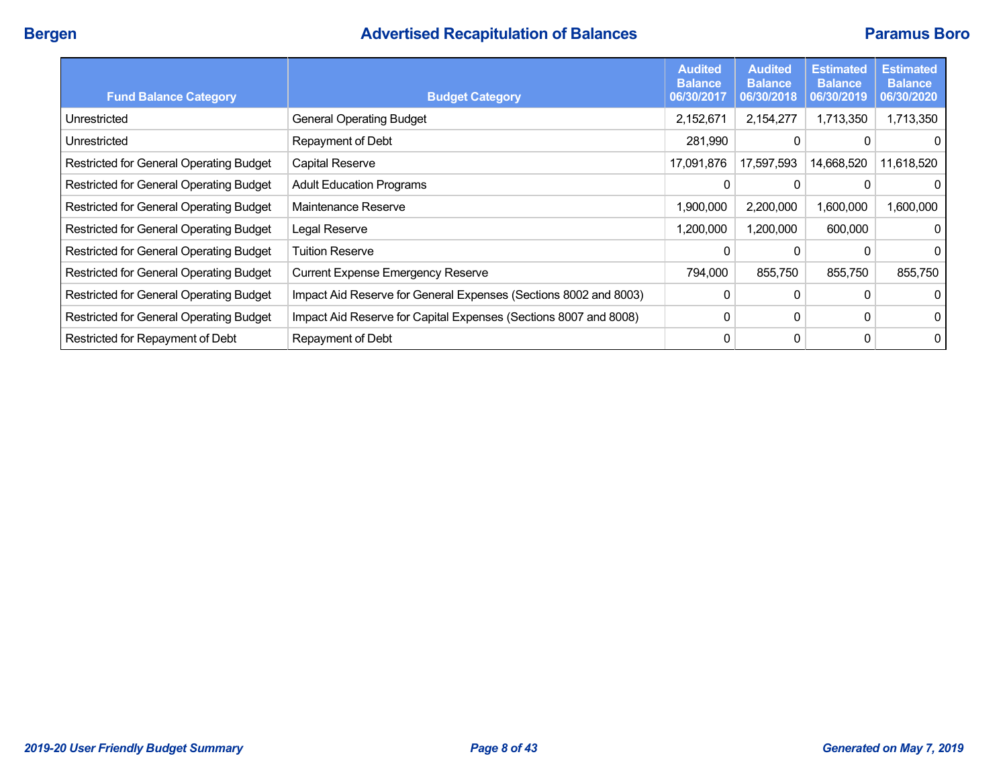# **Bergen Advertised Recapitulation of Balances Paramus Boro**

| <b>Fund Balance Category</b>            | <b>Budget Category</b>                                           | <b>Audited</b><br><b>Balance</b><br>06/30/2017 | <b>Audited</b><br><b>Balance</b><br>06/30/2018 | <b>Estimated</b><br><b>Balance</b><br>06/30/2019 | <b>Estimated</b><br><b>Balance</b><br>06/30/2020 |
|-----------------------------------------|------------------------------------------------------------------|------------------------------------------------|------------------------------------------------|--------------------------------------------------|--------------------------------------------------|
| Unrestricted                            | <b>General Operating Budget</b>                                  | 2,152,671                                      | 2,154,277                                      | 1,713,350                                        | 1,713,350                                        |
| Unrestricted                            | Repayment of Debt                                                | 281,990                                        |                                                |                                                  | 0                                                |
| Restricted for General Operating Budget | Capital Reserve                                                  | 17,091,876                                     | 17,597,593                                     | 14,668,520                                       | 11,618,520                                       |
| Restricted for General Operating Budget | <b>Adult Education Programs</b>                                  | 0                                              |                                                | 0                                                | 0                                                |
| Restricted for General Operating Budget | Maintenance Reserve                                              | 1,900,000                                      | 2,200,000                                      | 1,600,000                                        | 1,600,000                                        |
| Restricted for General Operating Budget | Legal Reserve                                                    | 1,200,000                                      | 1,200,000                                      | 600,000                                          | $\Omega$                                         |
| Restricted for General Operating Budget | <b>Tuition Reserve</b>                                           | 0                                              |                                                |                                                  | 0                                                |
| Restricted for General Operating Budget | <b>Current Expense Emergency Reserve</b>                         | 794,000                                        | 855,750                                        | 855,750                                          | 855,750                                          |
| Restricted for General Operating Budget | Impact Aid Reserve for General Expenses (Sections 8002 and 8003) | 0                                              |                                                | 0                                                | $\Omega$                                         |
| Restricted for General Operating Budget | Impact Aid Reserve for Capital Expenses (Sections 8007 and 8008) | 0                                              | 0                                              | 0                                                | 0                                                |
| Restricted for Repayment of Debt        | Repayment of Debt                                                | 0                                              | 0                                              | 0                                                | 0                                                |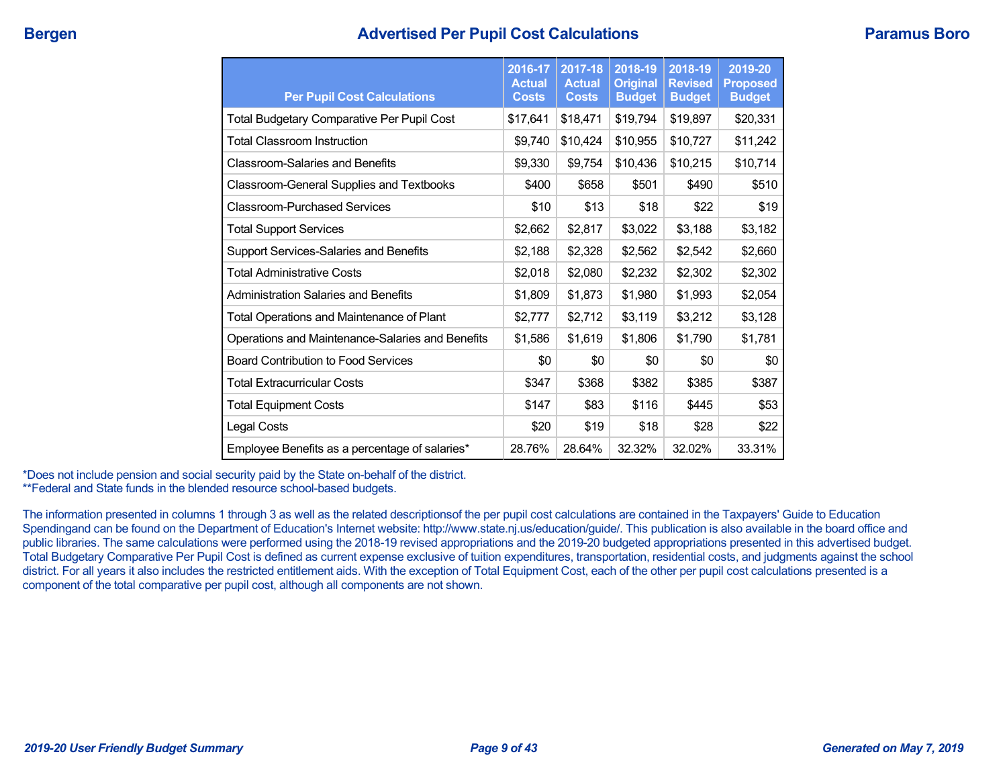## **Bergen Advertised Per Pupil Cost Calculations Paramus Boro**

| <b>Per Pupil Cost Calculations</b>               | 2016-17<br><b>Actual</b><br><b>Costs</b> | 2017-18<br><b>Actual</b><br><b>Costs</b> | 2018-19<br><b>Original</b><br><b>Budget</b> | 2018-19<br><b>Revised</b><br><b>Budget</b> | 2019-20<br><b>Proposed</b><br><b>Budget</b> |
|--------------------------------------------------|------------------------------------------|------------------------------------------|---------------------------------------------|--------------------------------------------|---------------------------------------------|
| Total Budgetary Comparative Per Pupil Cost       | \$17,641                                 | \$18,471                                 | \$19,794                                    | \$19,897                                   | \$20,331                                    |
| <b>Total Classroom Instruction</b>               | \$9,740                                  | \$10,424                                 | \$10,955                                    | \$10,727                                   | \$11,242                                    |
| <b>Classroom-Salaries and Benefits</b>           | \$9,330                                  | \$9,754                                  | \$10,436                                    | \$10,215                                   | \$10,714                                    |
| Classroom-General Supplies and Textbooks         | \$400                                    | \$658                                    | \$501                                       | \$490                                      | \$510                                       |
| <b>Classroom-Purchased Services</b>              | \$10                                     | \$13                                     | \$18                                        | \$22                                       | \$19                                        |
| <b>Total Support Services</b>                    | \$2,662                                  | \$2,817                                  | \$3,022                                     | \$3,188                                    | \$3,182                                     |
| Support Services-Salaries and Benefits           | \$2,188                                  | \$2,328                                  | \$2,562                                     | \$2,542                                    | \$2,660                                     |
| <b>Total Administrative Costs</b>                | \$2,018                                  | \$2,080                                  | \$2,232                                     | \$2,302                                    | \$2,302                                     |
| <b>Administration Salaries and Benefits</b>      | \$1,809                                  | \$1,873                                  | \$1,980                                     | \$1,993                                    | \$2,054                                     |
| Total Operations and Maintenance of Plant        | \$2,777                                  | \$2,712                                  | \$3,119                                     | \$3,212                                    | \$3,128                                     |
| Operations and Maintenance-Salaries and Benefits | \$1,586                                  | \$1,619                                  | \$1,806                                     | \$1,790                                    | \$1,781                                     |
| <b>Board Contribution to Food Services</b>       | \$0                                      | \$0                                      | \$0                                         | \$0                                        | \$0                                         |
| <b>Total Extracurricular Costs</b>               | \$347                                    | \$368                                    | \$382                                       | \$385                                      | \$387                                       |
| <b>Total Equipment Costs</b>                     | \$147                                    | \$83                                     | \$116                                       | \$445                                      | \$53                                        |
| Legal Costs                                      | \$20                                     | \$19                                     | \$18                                        | \$28                                       | \$22                                        |
| Employee Benefits as a percentage of salaries*   | 28.76%                                   | 28.64%                                   | 32.32%                                      | 32.02%                                     | 33.31%                                      |

\*Does not include pension and social security paid by the State on-behalf of the district. \*\*Federal and State funds in the blended resource school-based budgets.

The information presented in columns 1 through 3 as well as the related descriptionsof the per pupil cost calculations are contained in the Taxpayers' Guide to Education Spendingand can be found on the Department of Education's Internet website: http://www.state.nj.us/education/guide/. This publication is also available in the board office and public libraries. The same calculations were performed using the 2018-19 revised appropriations and the 2019-20 budgeted appropriations presented in this advertised budget. Total Budgetary Comparative Per Pupil Cost is defined as current expense exclusive of tuition expenditures, transportation, residential costs, and judgments against the school district. For all years it also includes the restricted entitlement aids. With the exception of Total Equipment Cost, each of the other per pupil cost calculations presented is a component of the total comparative per pupil cost, although all components are not shown.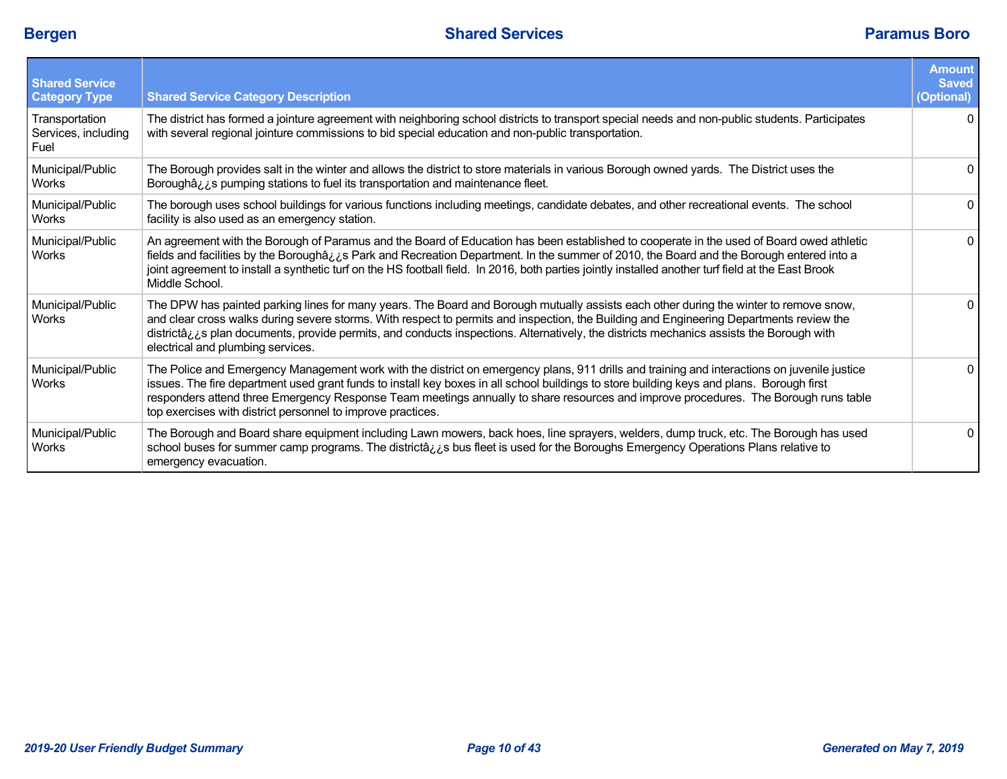| <b>Shared Service</b><br><b>Category Type</b> | <b>Shared Service Category Description</b>                                                                                                                                                                                                                                                                                                                                                                                                                                                     | <b>Amount</b><br><b>Saved</b><br>(Optional) |
|-----------------------------------------------|------------------------------------------------------------------------------------------------------------------------------------------------------------------------------------------------------------------------------------------------------------------------------------------------------------------------------------------------------------------------------------------------------------------------------------------------------------------------------------------------|---------------------------------------------|
| Transportation<br>Services, including<br>Fuel | The district has formed a jointure agreement with neighboring school districts to transport special needs and non-public students. Participates<br>with several regional jointure commissions to bid special education and non-public transportation.                                                                                                                                                                                                                                          | $\Omega$                                    |
| Municipal/Public<br><b>Works</b>              | The Borough provides salt in the winter and allows the district to store materials in various Borough owned yards. The District uses the<br>Boroughâzzes pumping stations to fuel its transportation and maintenance fleet.                                                                                                                                                                                                                                                                    | 0                                           |
| Municipal/Public<br>Works                     | The borough uses school buildings for various functions including meetings, candidate debates, and other recreational events. The school<br>facility is also used as an emergency station.                                                                                                                                                                                                                                                                                                     | $\overline{0}$                              |
| Municipal/Public<br><b>Works</b>              | An agreement with the Borough of Paramus and the Board of Education has been established to cooperate in the used of Board owed athletic<br>fields and facilities by the Boroughâzzs Park and Recreation Department. In the summer of 2010, the Board and the Borough entered into a<br>joint agreement to install a synthetic turf on the HS football field. In 2016, both parties jointly installed another turf field at the East Brook<br>Middle School.                                   | 0                                           |
| Municipal/Public<br><b>Works</b>              | The DPW has painted parking lines for many years. The Board and Borough mutually assists each other during the winter to remove snow,<br>and clear cross walks during severe storms. With respect to permits and inspection, the Building and Engineering Departments review the<br>districtâ, i.e plan documents, provide permits, and conducts inspections. Alternatively, the districts mechanics assists the Borough with<br>electrical and plumbing services.                             | $\mathbf{0}$                                |
| Municipal/Public<br>Works                     | The Police and Emergency Management work with the district on emergency plans, 911 drills and training and interactions on juvenile justice<br>issues. The fire department used grant funds to install key boxes in all school buildings to store building keys and plans. Borough first<br>responders attend three Emergency Response Team meetings annually to share resources and improve procedures. The Borough runs table<br>top exercises with district personnel to improve practices. | 0                                           |
| Municipal/Public<br><b>Works</b>              | The Borough and Board share equipment including Lawn mowers, back hoes, line sprayers, welders, dump truck, etc. The Borough has used<br>school buses for summer camp programs. The districtâ <sub>cc</sub> s bus fleet is used for the Boroughs Emergency Operations Plans relative to<br>emergency evacuation.                                                                                                                                                                               | 0                                           |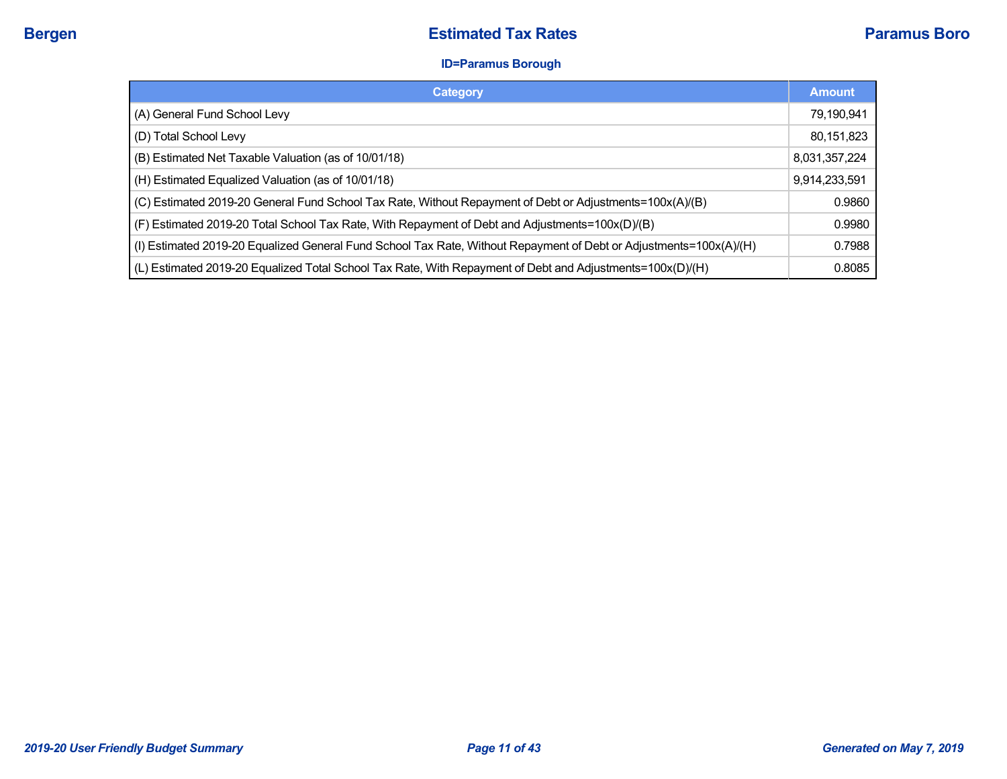### **ID=Paramus Borough**

| Category                                                                                                           | <b>Amount</b> |
|--------------------------------------------------------------------------------------------------------------------|---------------|
| (A) General Fund School Levy                                                                                       | 79,190,941    |
| (D) Total School Levy                                                                                              | 80,151,823    |
| (B) Estimated Net Taxable Valuation (as of 10/01/18)                                                               | 8,031,357,224 |
| (H) Estimated Equalized Valuation (as of 10/01/18)                                                                 | 9,914,233,591 |
| (C) Estimated 2019-20 General Fund School Tax Rate, Without Repayment of Debt or Adjustments=100x(A)/(B)           | 0.9860        |
| (F) Estimated 2019-20 Total School Tax Rate, With Repayment of Debt and Adjustments=100x(D)/(B)                    | 0.9980        |
| (I) Estimated 2019-20 Equalized General Fund School Tax Rate, Without Repayment of Debt or Adjustments=100x(A)/(H) | 0.7988        |
| (L) Estimated 2019-20 Equalized Total School Tax Rate, With Repayment of Debt and Adjustments=100x(D)/(H)          | 0.8085        |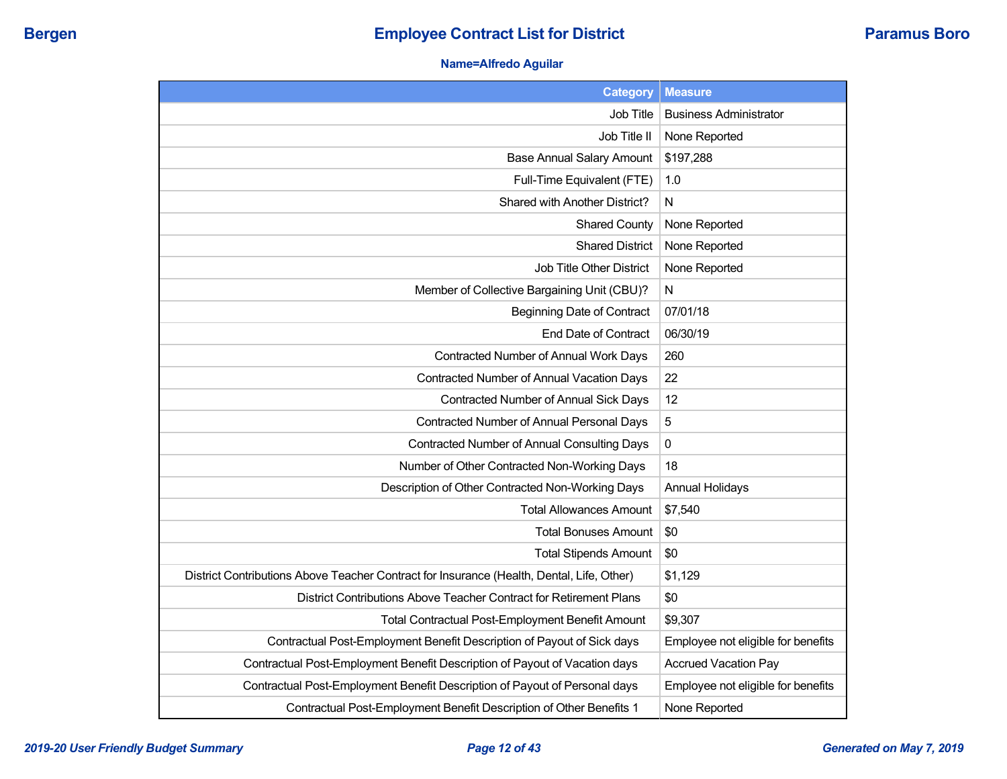## **Name=Alfredo Aguilar**

| <b>Category</b>                                                                           | <b>Measure</b>                     |
|-------------------------------------------------------------------------------------------|------------------------------------|
| Job Title                                                                                 | <b>Business Administrator</b>      |
| Job Title II                                                                              | None Reported                      |
| <b>Base Annual Salary Amount</b>                                                          | \$197,288                          |
| Full-Time Equivalent (FTE)                                                                | 1.0                                |
| Shared with Another District?                                                             | N                                  |
| <b>Shared County</b>                                                                      | None Reported                      |
| <b>Shared District</b>                                                                    | None Reported                      |
| Job Title Other District                                                                  | None Reported                      |
| Member of Collective Bargaining Unit (CBU)?                                               | N                                  |
| <b>Beginning Date of Contract</b>                                                         | 07/01/18                           |
| <b>End Date of Contract</b>                                                               | 06/30/19                           |
| Contracted Number of Annual Work Days                                                     | 260                                |
| Contracted Number of Annual Vacation Days                                                 | 22                                 |
| Contracted Number of Annual Sick Days                                                     | 12                                 |
| Contracted Number of Annual Personal Days                                                 | 5                                  |
| Contracted Number of Annual Consulting Days                                               | 0                                  |
| Number of Other Contracted Non-Working Days                                               | 18                                 |
| Description of Other Contracted Non-Working Days                                          | <b>Annual Holidays</b>             |
| <b>Total Allowances Amount</b>                                                            | \$7,540                            |
| <b>Total Bonuses Amount</b>                                                               | \$0                                |
| <b>Total Stipends Amount</b>                                                              | \$0                                |
| District Contributions Above Teacher Contract for Insurance (Health, Dental, Life, Other) | \$1,129                            |
| District Contributions Above Teacher Contract for Retirement Plans                        | \$0                                |
| Total Contractual Post-Employment Benefit Amount                                          | \$9,307                            |
| Contractual Post-Employment Benefit Description of Payout of Sick days                    | Employee not eligible for benefits |
| Contractual Post-Employment Benefit Description of Payout of Vacation days                | <b>Accrued Vacation Pay</b>        |
| Contractual Post-Employment Benefit Description of Payout of Personal days                | Employee not eligible for benefits |
| Contractual Post-Employment Benefit Description of Other Benefits 1                       | None Reported                      |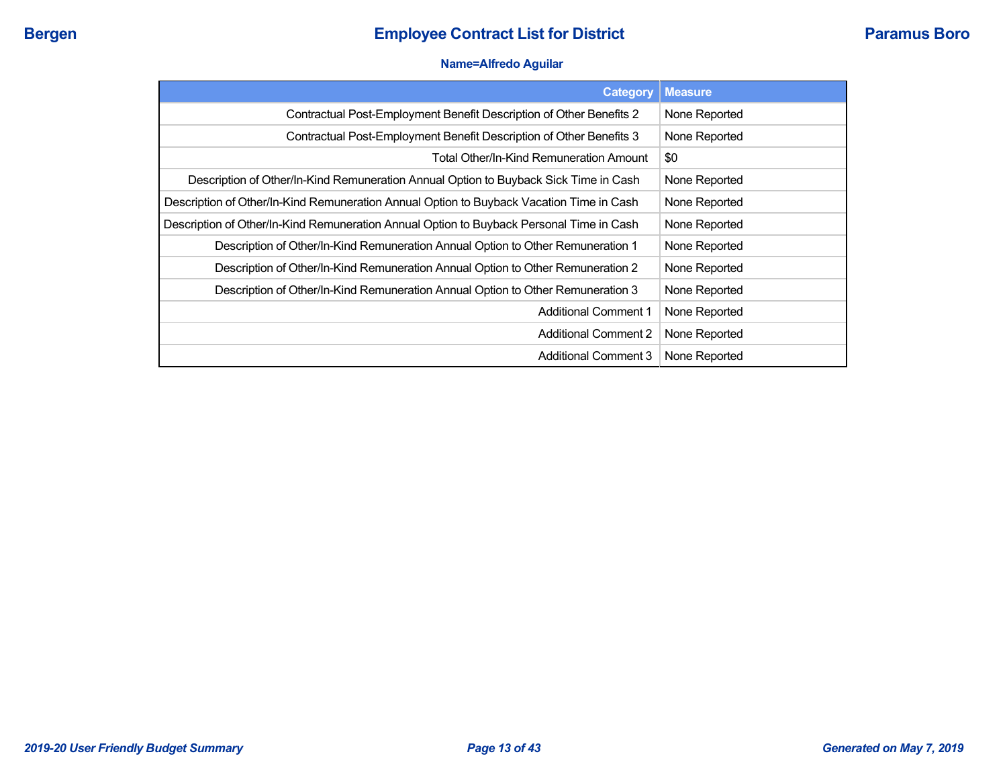### **Name=Alfredo Aguilar**

| <b>Category</b>                                                                          | <b>Measure</b> |
|------------------------------------------------------------------------------------------|----------------|
| Contractual Post-Employment Benefit Description of Other Benefits 2                      | None Reported  |
| Contractual Post-Employment Benefit Description of Other Benefits 3                      | None Reported  |
| Total Other/In-Kind Remuneration Amount                                                  | \$0            |
| Description of Other/In-Kind Remuneration Annual Option to Buyback Sick Time in Cash     | None Reported  |
| Description of Other/In-Kind Remuneration Annual Option to Buyback Vacation Time in Cash | None Reported  |
| Description of Other/In-Kind Remuneration Annual Option to Buyback Personal Time in Cash | None Reported  |
| Description of Other/In-Kind Remuneration Annual Option to Other Remuneration 1          | None Reported  |
| Description of Other/In-Kind Remuneration Annual Option to Other Remuneration 2          | None Reported  |
| Description of Other/In-Kind Remuneration Annual Option to Other Remuneration 3          | None Reported  |
| <b>Additional Comment 1</b>                                                              | None Reported  |
| <b>Additional Comment 2</b>                                                              | None Reported  |
| <b>Additional Comment 3</b>                                                              | None Reported  |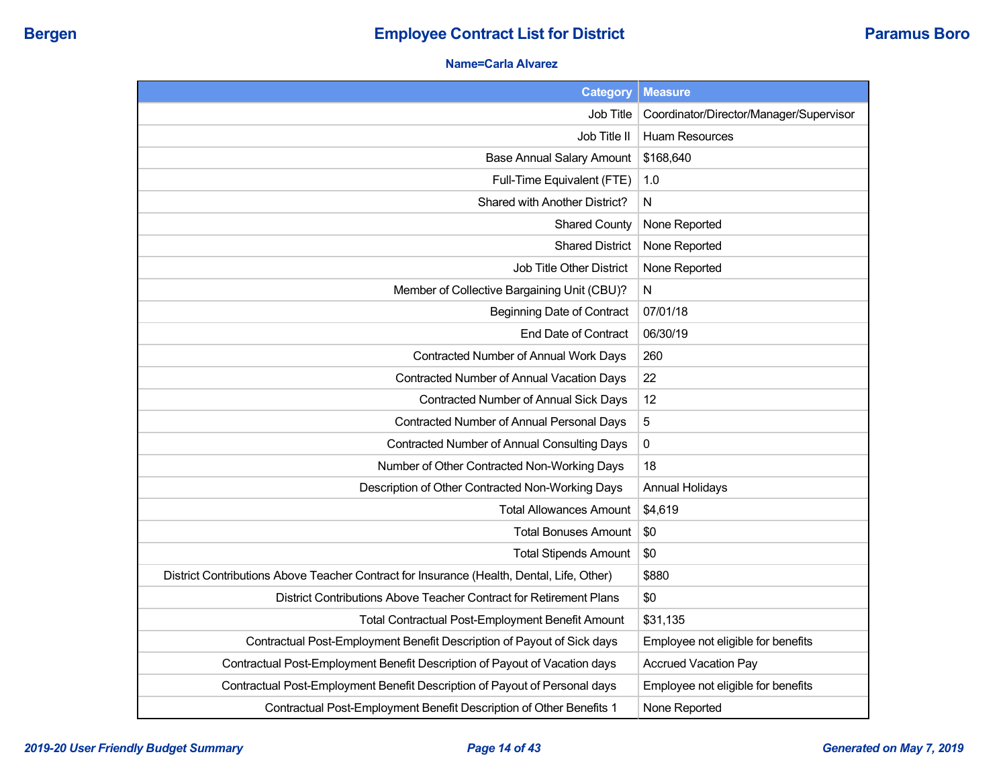## **Name=Carla Alvarez**

| <b>Category</b>                                                                           | <b>Measure</b>                          |
|-------------------------------------------------------------------------------------------|-----------------------------------------|
| Job Title                                                                                 | Coordinator/Director/Manager/Supervisor |
| Job Title II                                                                              | <b>Huam Resources</b>                   |
| <b>Base Annual Salary Amount</b>                                                          | \$168,640                               |
| Full-Time Equivalent (FTE)                                                                | 1.0                                     |
| Shared with Another District?                                                             | N                                       |
| <b>Shared County</b>                                                                      | None Reported                           |
| <b>Shared District</b>                                                                    | None Reported                           |
| <b>Job Title Other District</b>                                                           | None Reported                           |
| Member of Collective Bargaining Unit (CBU)?                                               | N                                       |
| <b>Beginning Date of Contract</b>                                                         | 07/01/18                                |
| End Date of Contract                                                                      | 06/30/19                                |
| Contracted Number of Annual Work Days                                                     | 260                                     |
| Contracted Number of Annual Vacation Days                                                 | 22                                      |
| Contracted Number of Annual Sick Days                                                     | 12                                      |
| <b>Contracted Number of Annual Personal Days</b>                                          | $\sqrt{5}$                              |
| Contracted Number of Annual Consulting Days                                               | $\pmb{0}$                               |
| Number of Other Contracted Non-Working Days                                               | 18                                      |
| Description of Other Contracted Non-Working Days                                          | <b>Annual Holidays</b>                  |
| <b>Total Allowances Amount</b>                                                            | \$4,619                                 |
| <b>Total Bonuses Amount</b>                                                               | \$0                                     |
| <b>Total Stipends Amount</b>                                                              | \$0                                     |
| District Contributions Above Teacher Contract for Insurance (Health, Dental, Life, Other) | \$880                                   |
| District Contributions Above Teacher Contract for Retirement Plans                        | \$0                                     |
| Total Contractual Post-Employment Benefit Amount                                          | \$31,135                                |
| Contractual Post-Employment Benefit Description of Payout of Sick days                    | Employee not eligible for benefits      |
| Contractual Post-Employment Benefit Description of Payout of Vacation days                | <b>Accrued Vacation Pay</b>             |
| Contractual Post-Employment Benefit Description of Payout of Personal days                | Employee not eligible for benefits      |
| Contractual Post-Employment Benefit Description of Other Benefits 1                       | None Reported                           |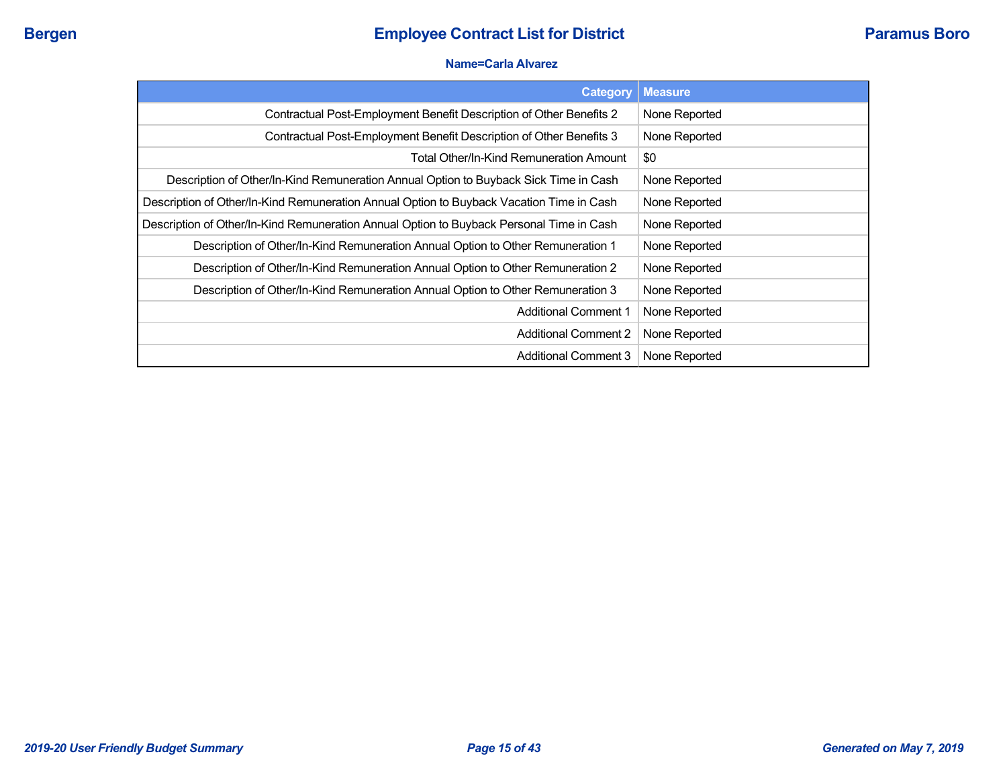#### **Name=Carla Alvarez**

| <b>Category</b>                                                                          | <b>Measure</b> |
|------------------------------------------------------------------------------------------|----------------|
| Contractual Post-Employment Benefit Description of Other Benefits 2                      | None Reported  |
| Contractual Post-Employment Benefit Description of Other Benefits 3                      | None Reported  |
| Total Other/In-Kind Remuneration Amount                                                  | \$0            |
| Description of Other/In-Kind Remuneration Annual Option to Buyback Sick Time in Cash     | None Reported  |
| Description of Other/In-Kind Remuneration Annual Option to Buyback Vacation Time in Cash | None Reported  |
| Description of Other/In-Kind Remuneration Annual Option to Buyback Personal Time in Cash | None Reported  |
| Description of Other/In-Kind Remuneration Annual Option to Other Remuneration 1          | None Reported  |
| Description of Other/In-Kind Remuneration Annual Option to Other Remuneration 2          | None Reported  |
| Description of Other/In-Kind Remuneration Annual Option to Other Remuneration 3          | None Reported  |
| <b>Additional Comment 1</b>                                                              | None Reported  |
| <b>Additional Comment 2</b>                                                              | None Reported  |
| <b>Additional Comment 3</b>                                                              | None Reported  |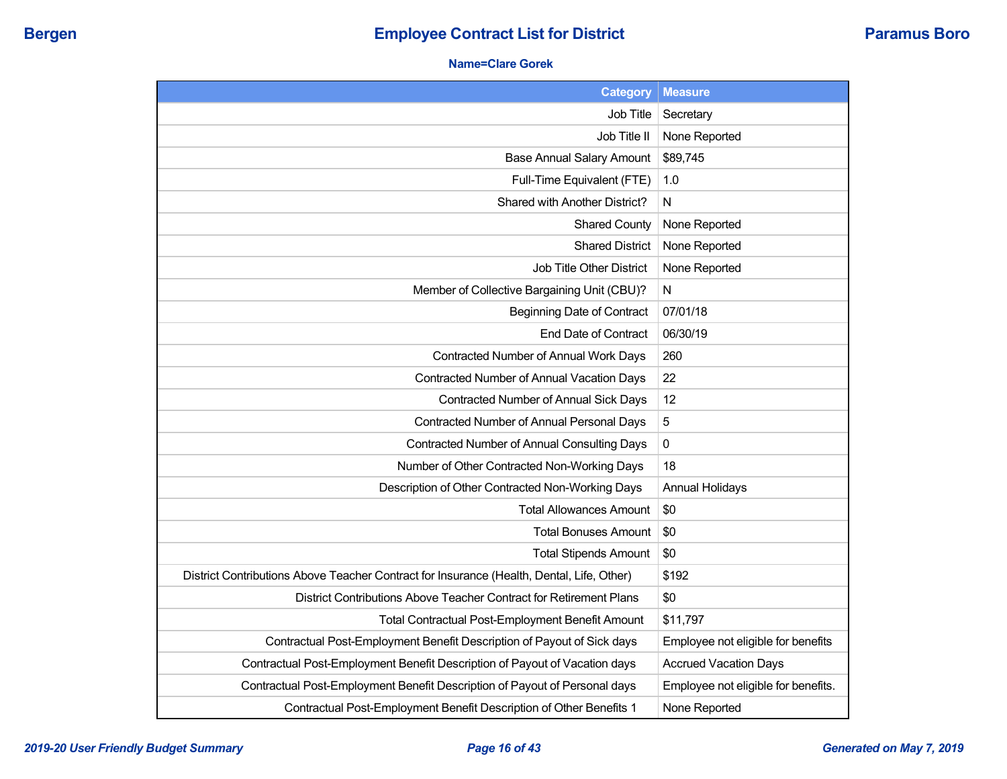## **Name=Clare Gorek**

| <b>Category</b>                                                                           | <b>Measure</b>                      |
|-------------------------------------------------------------------------------------------|-------------------------------------|
| <b>Job Title</b>                                                                          | Secretary                           |
| Job Title II                                                                              | None Reported                       |
| <b>Base Annual Salary Amount</b>                                                          | \$89,745                            |
| Full-Time Equivalent (FTE)                                                                | 1.0                                 |
| Shared with Another District?                                                             | N                                   |
| <b>Shared County</b>                                                                      | None Reported                       |
| <b>Shared District</b>                                                                    | None Reported                       |
| Job Title Other District                                                                  | None Reported                       |
| Member of Collective Bargaining Unit (CBU)?                                               | N                                   |
| <b>Beginning Date of Contract</b>                                                         | 07/01/18                            |
| End Date of Contract                                                                      | 06/30/19                            |
| Contracted Number of Annual Work Days                                                     | 260                                 |
| Contracted Number of Annual Vacation Days                                                 | 22                                  |
| Contracted Number of Annual Sick Days                                                     | 12                                  |
| Contracted Number of Annual Personal Days                                                 | 5                                   |
| Contracted Number of Annual Consulting Days                                               | 0                                   |
| Number of Other Contracted Non-Working Days                                               | 18                                  |
| Description of Other Contracted Non-Working Days                                          | <b>Annual Holidays</b>              |
| <b>Total Allowances Amount</b>                                                            | \$0                                 |
| <b>Total Bonuses Amount</b>                                                               | \$0                                 |
| <b>Total Stipends Amount</b>                                                              | \$0                                 |
| District Contributions Above Teacher Contract for Insurance (Health, Dental, Life, Other) | \$192                               |
| District Contributions Above Teacher Contract for Retirement Plans                        | \$0                                 |
| <b>Total Contractual Post-Employment Benefit Amount</b>                                   | \$11,797                            |
| Contractual Post-Employment Benefit Description of Payout of Sick days                    | Employee not eligible for benefits  |
| Contractual Post-Employment Benefit Description of Payout of Vacation days                | <b>Accrued Vacation Days</b>        |
| Contractual Post-Employment Benefit Description of Payout of Personal days                | Employee not eligible for benefits. |
| Contractual Post-Employment Benefit Description of Other Benefits 1                       | None Reported                       |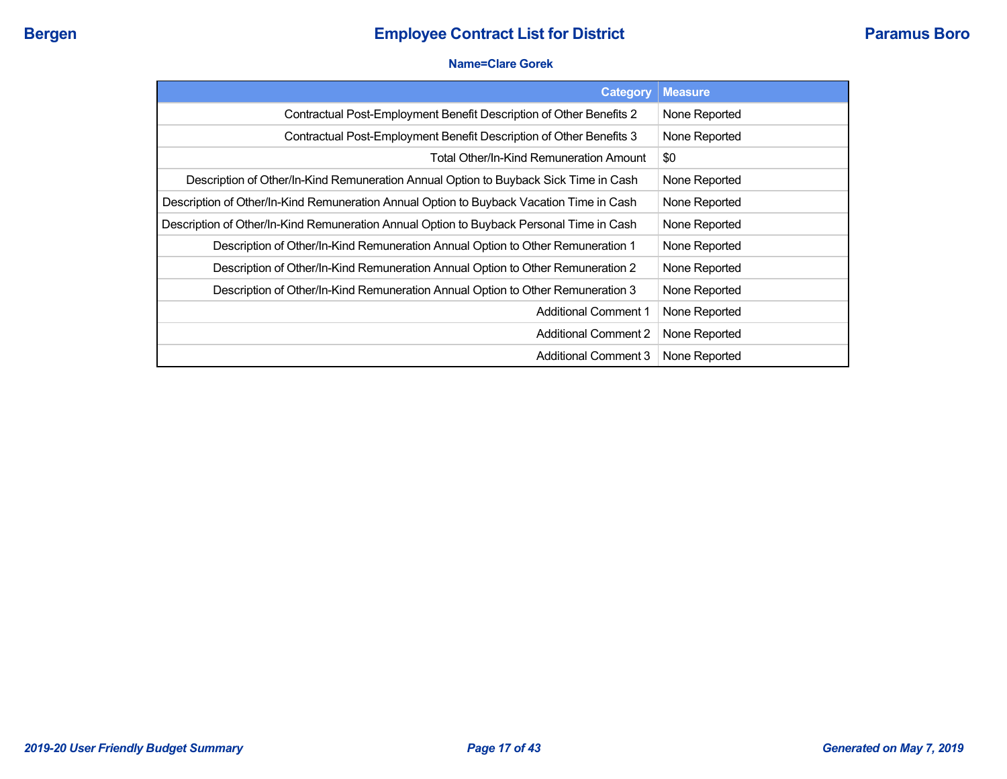#### **Name=Clare Gorek**

| <b>Category</b>                                                                          | <b>Measure</b> |
|------------------------------------------------------------------------------------------|----------------|
| Contractual Post-Employment Benefit Description of Other Benefits 2                      | None Reported  |
| Contractual Post-Employment Benefit Description of Other Benefits 3                      | None Reported  |
| Total Other/In-Kind Remuneration Amount                                                  | \$0            |
| Description of Other/In-Kind Remuneration Annual Option to Buyback Sick Time in Cash     | None Reported  |
| Description of Other/In-Kind Remuneration Annual Option to Buyback Vacation Time in Cash | None Reported  |
| Description of Other/In-Kind Remuneration Annual Option to Buyback Personal Time in Cash | None Reported  |
| Description of Other/In-Kind Remuneration Annual Option to Other Remuneration 1          | None Reported  |
| Description of Other/In-Kind Remuneration Annual Option to Other Remuneration 2          | None Reported  |
| Description of Other/In-Kind Remuneration Annual Option to Other Remuneration 3          | None Reported  |
| <b>Additional Comment 1</b>                                                              | None Reported  |
| <b>Additional Comment 2</b>                                                              | None Reported  |
| <b>Additional Comment 3</b>                                                              | None Reported  |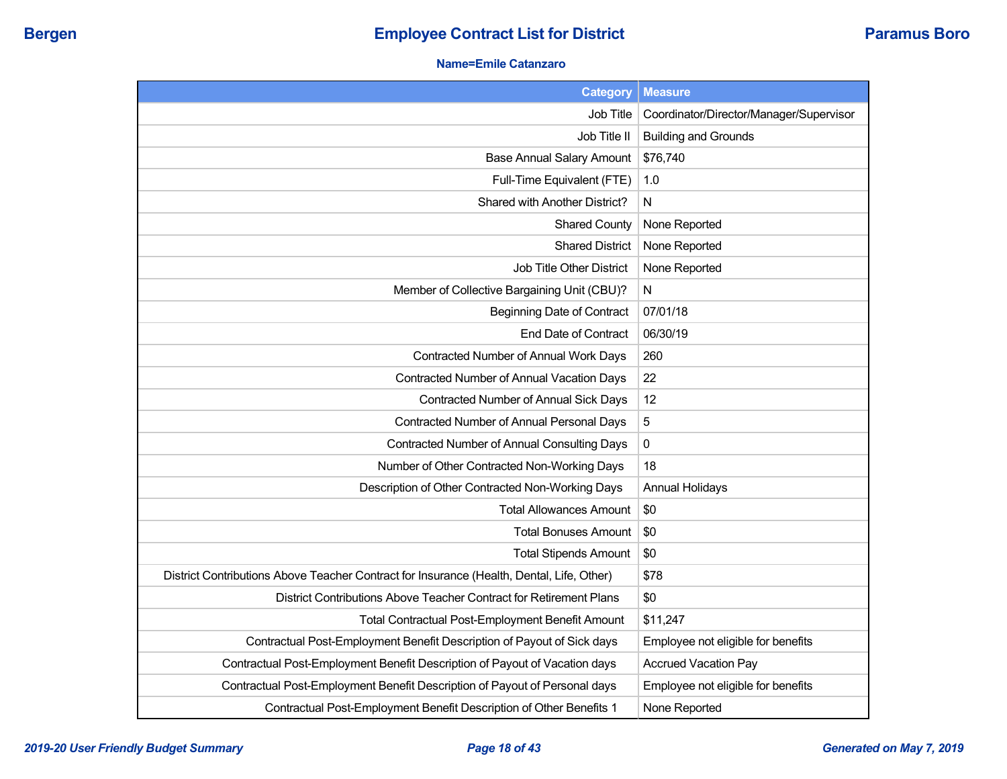## **Name=Emile Catanzaro**

| <b>Category</b>                                                                           | <b>Measure</b>                          |
|-------------------------------------------------------------------------------------------|-----------------------------------------|
| Job Title                                                                                 | Coordinator/Director/Manager/Supervisor |
| Job Title II                                                                              | <b>Building and Grounds</b>             |
| <b>Base Annual Salary Amount</b>                                                          | \$76,740                                |
| Full-Time Equivalent (FTE)                                                                | 1.0                                     |
| Shared with Another District?                                                             | N                                       |
| <b>Shared County</b>                                                                      | None Reported                           |
| <b>Shared District</b>                                                                    | None Reported                           |
| <b>Job Title Other District</b>                                                           | None Reported                           |
| Member of Collective Bargaining Unit (CBU)?                                               | N                                       |
| <b>Beginning Date of Contract</b>                                                         | 07/01/18                                |
| End Date of Contract                                                                      | 06/30/19                                |
| Contracted Number of Annual Work Days                                                     | 260                                     |
| Contracted Number of Annual Vacation Days                                                 | 22                                      |
| Contracted Number of Annual Sick Days                                                     | 12                                      |
| Contracted Number of Annual Personal Days                                                 | 5                                       |
| <b>Contracted Number of Annual Consulting Days</b>                                        | $\pmb{0}$                               |
| Number of Other Contracted Non-Working Days                                               | 18                                      |
| Description of Other Contracted Non-Working Days                                          | <b>Annual Holidays</b>                  |
| <b>Total Allowances Amount</b>                                                            | \$0                                     |
| <b>Total Bonuses Amount</b>                                                               | \$0                                     |
| <b>Total Stipends Amount</b>                                                              | \$0                                     |
| District Contributions Above Teacher Contract for Insurance (Health, Dental, Life, Other) | \$78                                    |
| District Contributions Above Teacher Contract for Retirement Plans                        | \$0                                     |
| Total Contractual Post-Employment Benefit Amount                                          | \$11,247                                |
| Contractual Post-Employment Benefit Description of Payout of Sick days                    | Employee not eligible for benefits      |
| Contractual Post-Employment Benefit Description of Payout of Vacation days                | <b>Accrued Vacation Pay</b>             |
| Contractual Post-Employment Benefit Description of Payout of Personal days                | Employee not eligible for benefits      |
| Contractual Post-Employment Benefit Description of Other Benefits 1                       | None Reported                           |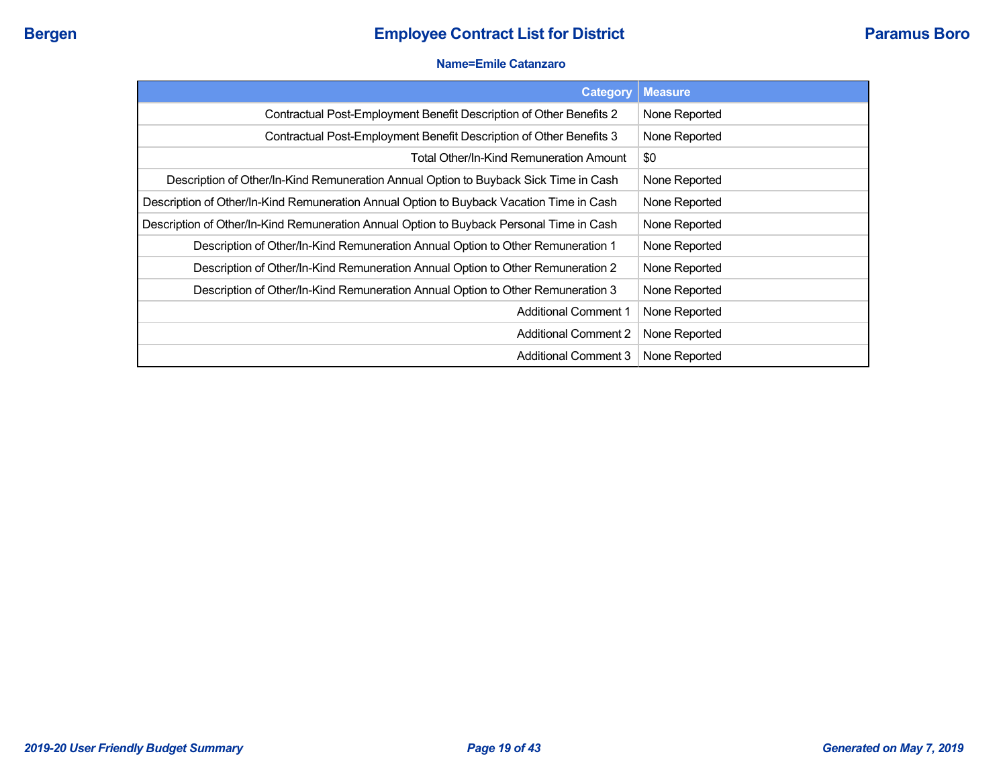#### **Name=Emile Catanzaro**

| <b>Category</b>                                                                          | <b>Measure</b> |
|------------------------------------------------------------------------------------------|----------------|
| Contractual Post-Employment Benefit Description of Other Benefits 2                      | None Reported  |
| Contractual Post-Employment Benefit Description of Other Benefits 3                      | None Reported  |
| Total Other/In-Kind Remuneration Amount                                                  | \$0            |
| Description of Other/In-Kind Remuneration Annual Option to Buyback Sick Time in Cash     | None Reported  |
| Description of Other/In-Kind Remuneration Annual Option to Buyback Vacation Time in Cash | None Reported  |
| Description of Other/In-Kind Remuneration Annual Option to Buyback Personal Time in Cash | None Reported  |
| Description of Other/In-Kind Remuneration Annual Option to Other Remuneration 1          | None Reported  |
| Description of Other/In-Kind Remuneration Annual Option to Other Remuneration 2          | None Reported  |
| Description of Other/In-Kind Remuneration Annual Option to Other Remuneration 3          | None Reported  |
| <b>Additional Comment 1</b>                                                              | None Reported  |
| <b>Additional Comment 2</b>                                                              | None Reported  |
| <b>Additional Comment 3</b>                                                              | None Reported  |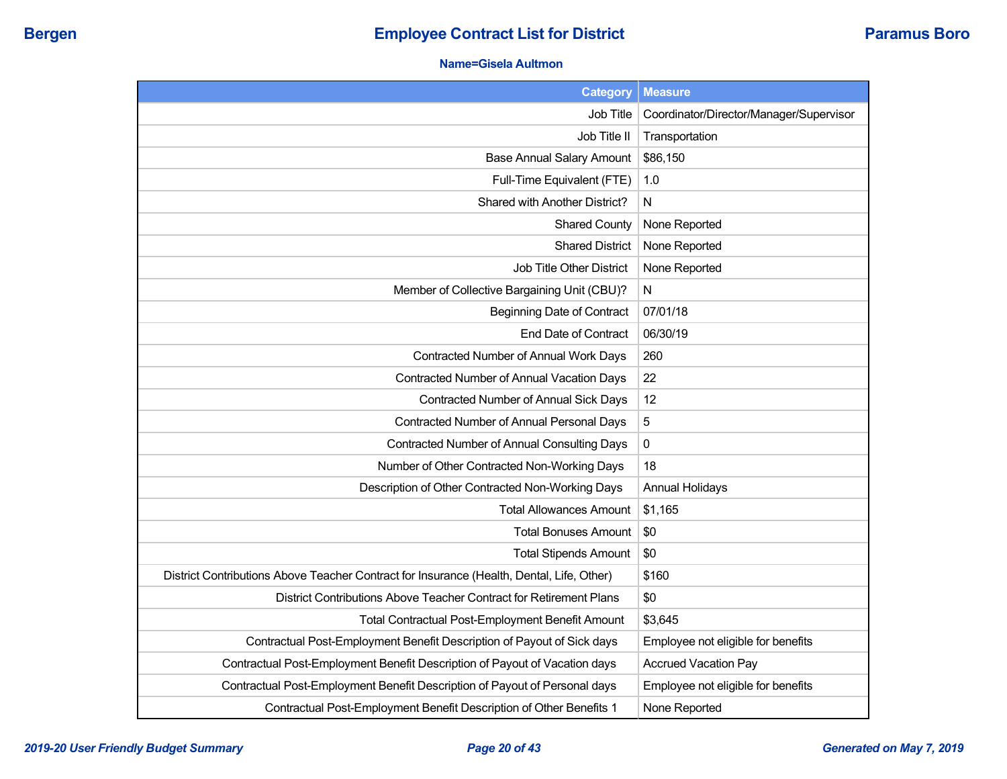## **Name=Gisela Aultmon**

| Category                                                                                  | <b>Measure</b>                          |
|-------------------------------------------------------------------------------------------|-----------------------------------------|
| Job Title                                                                                 | Coordinator/Director/Manager/Supervisor |
| Job Title II                                                                              | Transportation                          |
| Base Annual Salary Amount                                                                 | \$86,150                                |
| Full-Time Equivalent (FTE)                                                                | 1.0                                     |
| Shared with Another District?                                                             | N                                       |
| <b>Shared County</b>                                                                      | None Reported                           |
| <b>Shared District</b>                                                                    | None Reported                           |
| Job Title Other District                                                                  | None Reported                           |
| Member of Collective Bargaining Unit (CBU)?                                               | N                                       |
| <b>Beginning Date of Contract</b>                                                         | 07/01/18                                |
| <b>End Date of Contract</b>                                                               | 06/30/19                                |
| Contracted Number of Annual Work Days                                                     | 260                                     |
| Contracted Number of Annual Vacation Days                                                 | 22                                      |
| Contracted Number of Annual Sick Days                                                     | 12                                      |
| Contracted Number of Annual Personal Days                                                 | 5                                       |
| <b>Contracted Number of Annual Consulting Days</b>                                        | $\pmb{0}$                               |
| Number of Other Contracted Non-Working Days                                               | 18                                      |
| Description of Other Contracted Non-Working Days                                          | <b>Annual Holidays</b>                  |
| <b>Total Allowances Amount</b>                                                            | \$1,165                                 |
| <b>Total Bonuses Amount</b>                                                               | \$0                                     |
| <b>Total Stipends Amount</b>                                                              | \$0                                     |
| District Contributions Above Teacher Contract for Insurance (Health, Dental, Life, Other) | \$160                                   |
| District Contributions Above Teacher Contract for Retirement Plans                        | \$0                                     |
| Total Contractual Post-Employment Benefit Amount                                          | \$3,645                                 |
| Contractual Post-Employment Benefit Description of Payout of Sick days                    | Employee not eligible for benefits      |
| Contractual Post-Employment Benefit Description of Payout of Vacation days                | <b>Accrued Vacation Pay</b>             |
| Contractual Post-Employment Benefit Description of Payout of Personal days                | Employee not eligible for benefits      |
| Contractual Post-Employment Benefit Description of Other Benefits 1                       | None Reported                           |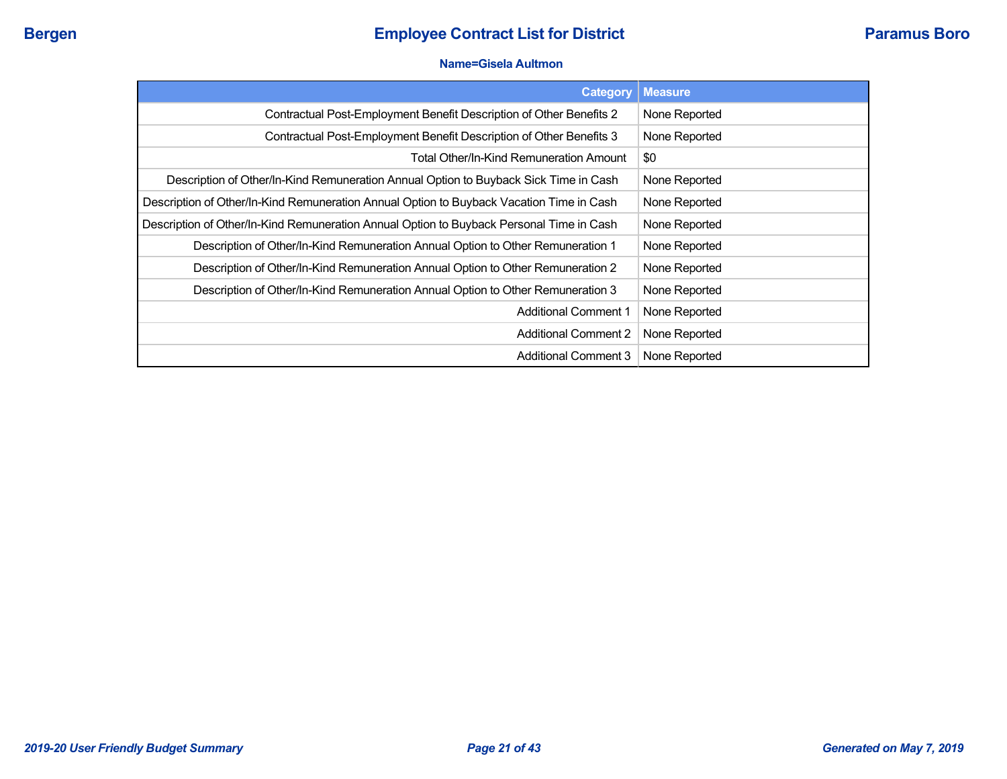#### **Name=Gisela Aultmon**

| <b>Category</b>                                                                          | <b>Measure</b> |
|------------------------------------------------------------------------------------------|----------------|
| Contractual Post-Employment Benefit Description of Other Benefits 2                      | None Reported  |
| Contractual Post-Employment Benefit Description of Other Benefits 3                      | None Reported  |
| <b>Total Other/In-Kind Remuneration Amount</b>                                           | \$0            |
| Description of Other/In-Kind Remuneration Annual Option to Buyback Sick Time in Cash     | None Reported  |
| Description of Other/In-Kind Remuneration Annual Option to Buyback Vacation Time in Cash | None Reported  |
| Description of Other/In-Kind Remuneration Annual Option to Buyback Personal Time in Cash | None Reported  |
| Description of Other/In-Kind Remuneration Annual Option to Other Remuneration 1          | None Reported  |
| Description of Other/In-Kind Remuneration Annual Option to Other Remuneration 2          | None Reported  |
| Description of Other/In-Kind Remuneration Annual Option to Other Remuneration 3          | None Reported  |
| <b>Additional Comment 1</b>                                                              | None Reported  |
| <b>Additional Comment 2</b>                                                              | None Reported  |
| Additional Comment 3                                                                     | None Reported  |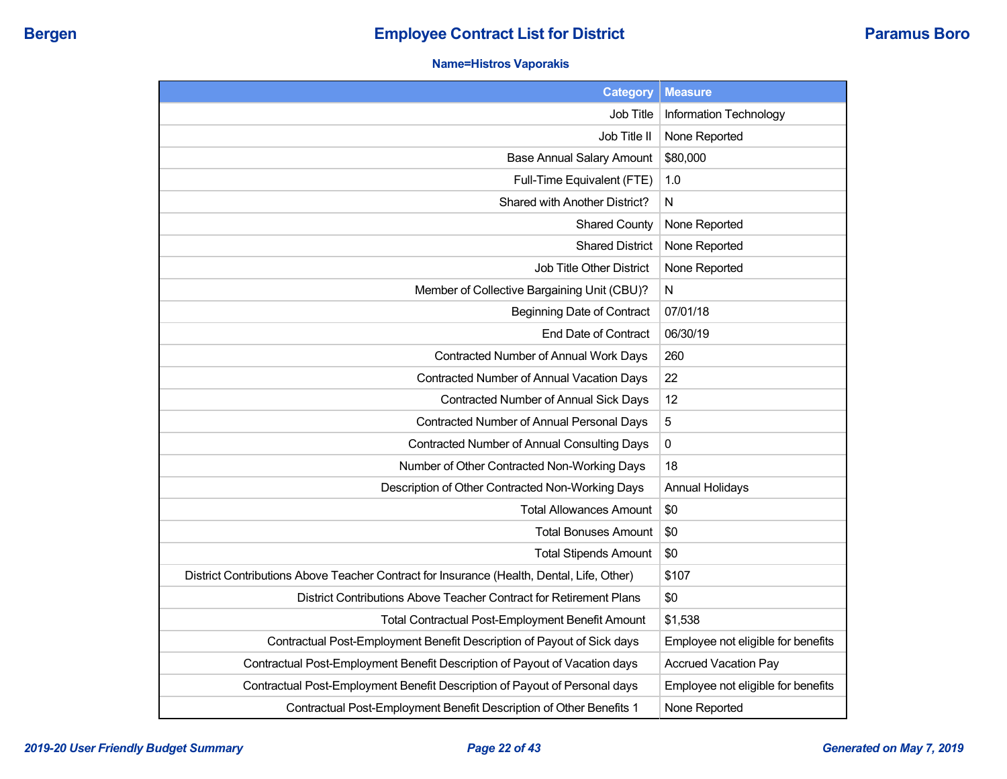## **Name=Histros Vaporakis**

| <b>Category</b>                                                                           | <b>Measure</b>                     |
|-------------------------------------------------------------------------------------------|------------------------------------|
| Job Title                                                                                 | Information Technology             |
| Job Title II                                                                              | None Reported                      |
| <b>Base Annual Salary Amount</b>                                                          | \$80,000                           |
| Full-Time Equivalent (FTE)                                                                | 1.0                                |
| Shared with Another District?                                                             | N                                  |
| <b>Shared County</b>                                                                      | None Reported                      |
| <b>Shared District</b>                                                                    | None Reported                      |
| Job Title Other District                                                                  | None Reported                      |
| Member of Collective Bargaining Unit (CBU)?                                               | N                                  |
| <b>Beginning Date of Contract</b>                                                         | 07/01/18                           |
| <b>End Date of Contract</b>                                                               | 06/30/19                           |
| Contracted Number of Annual Work Days                                                     | 260                                |
| Contracted Number of Annual Vacation Days                                                 | 22                                 |
| Contracted Number of Annual Sick Days                                                     | 12                                 |
| Contracted Number of Annual Personal Days                                                 | 5                                  |
| Contracted Number of Annual Consulting Days                                               | 0                                  |
| Number of Other Contracted Non-Working Days                                               | 18                                 |
| Description of Other Contracted Non-Working Days                                          | <b>Annual Holidays</b>             |
| <b>Total Allowances Amount</b>                                                            | \$0                                |
| <b>Total Bonuses Amount</b>                                                               | \$0                                |
| <b>Total Stipends Amount</b>                                                              | \$0                                |
| District Contributions Above Teacher Contract for Insurance (Health, Dental, Life, Other) | \$107                              |
| District Contributions Above Teacher Contract for Retirement Plans                        | \$0                                |
| Total Contractual Post-Employment Benefit Amount                                          | \$1,538                            |
| Contractual Post-Employment Benefit Description of Payout of Sick days                    | Employee not eligible for benefits |
| Contractual Post-Employment Benefit Description of Payout of Vacation days                | <b>Accrued Vacation Pay</b>        |
| Contractual Post-Employment Benefit Description of Payout of Personal days                | Employee not eligible for benefits |
| Contractual Post-Employment Benefit Description of Other Benefits 1                       | None Reported                      |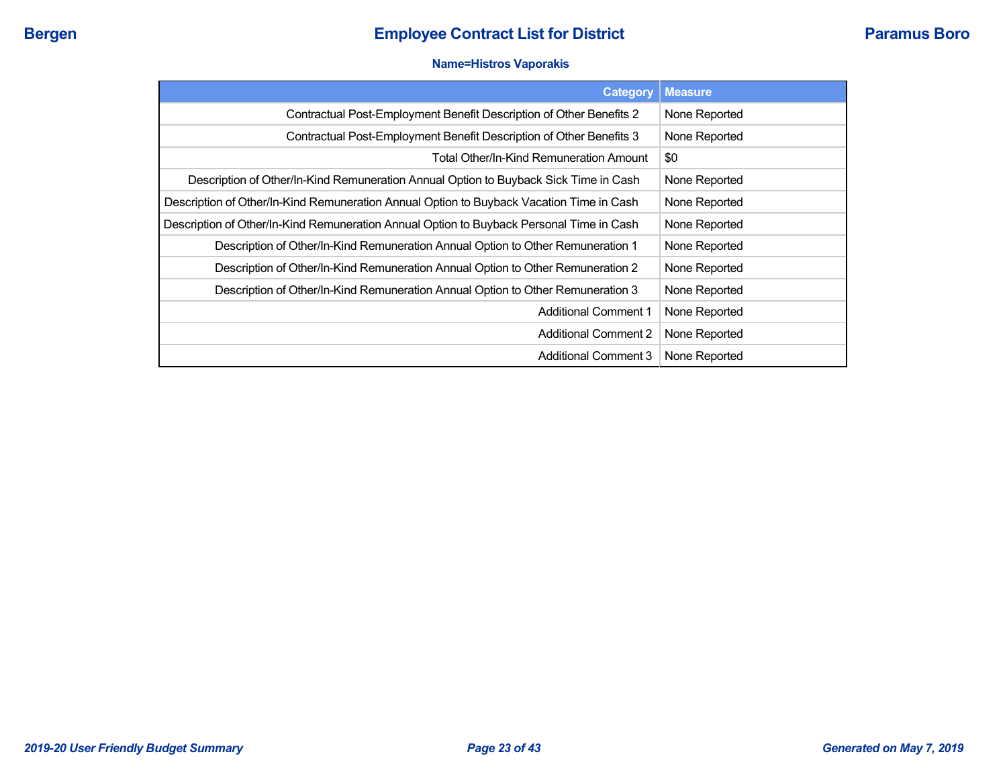#### **Name=Histros Vaporakis**

| <b>Category</b>                                                                          | <b>Measure</b> |
|------------------------------------------------------------------------------------------|----------------|
| Contractual Post-Employment Benefit Description of Other Benefits 2                      | None Reported  |
| Contractual Post-Employment Benefit Description of Other Benefits 3                      | None Reported  |
| Total Other/In-Kind Remuneration Amount                                                  | \$0            |
| Description of Other/In-Kind Remuneration Annual Option to Buyback Sick Time in Cash     | None Reported  |
| Description of Other/In-Kind Remuneration Annual Option to Buyback Vacation Time in Cash | None Reported  |
| Description of Other/In-Kind Remuneration Annual Option to Buyback Personal Time in Cash | None Reported  |
| Description of Other/In-Kind Remuneration Annual Option to Other Remuneration 1          | None Reported  |
| Description of Other/In-Kind Remuneration Annual Option to Other Remuneration 2          | None Reported  |
| Description of Other/In-Kind Remuneration Annual Option to Other Remuneration 3          | None Reported  |
| <b>Additional Comment 1</b>                                                              | None Reported  |
| <b>Additional Comment 2</b>                                                              | None Reported  |
| <b>Additional Comment 3</b>                                                              | None Reported  |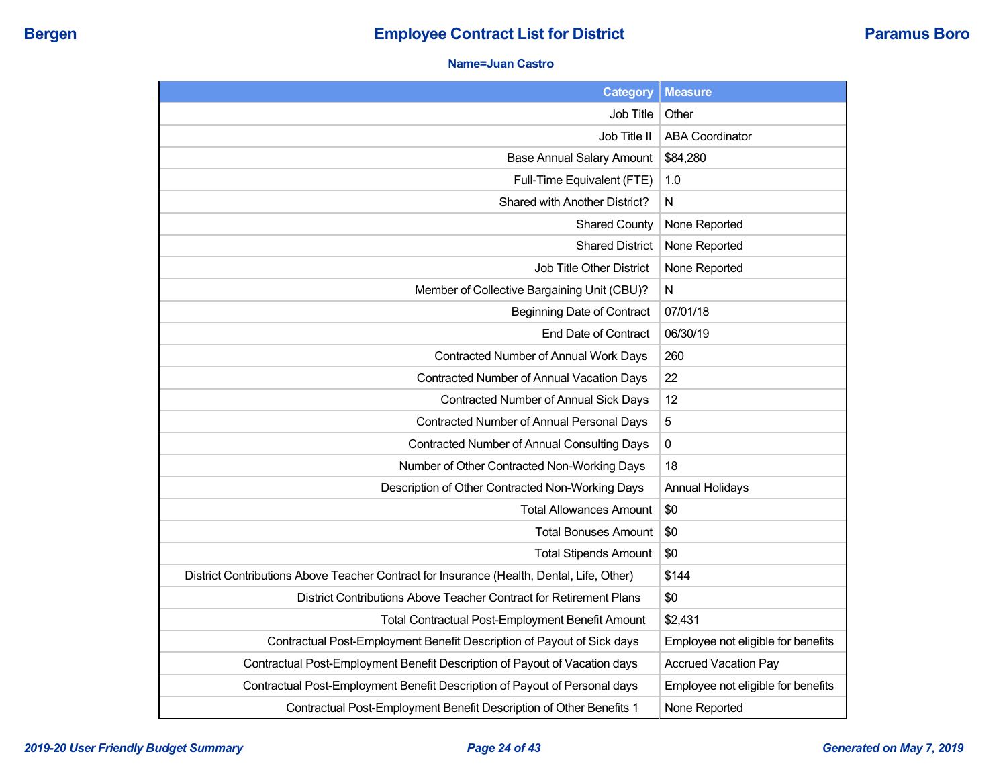#### **Name=Juan Castro**

| <b>Category</b>                                                                           | <b>Measure</b>                     |
|-------------------------------------------------------------------------------------------|------------------------------------|
| Job Title                                                                                 | Other                              |
| Job Title II                                                                              | <b>ABA Coordinator</b>             |
| <b>Base Annual Salary Amount</b>                                                          | \$84,280                           |
| Full-Time Equivalent (FTE)                                                                | 1.0                                |
| Shared with Another District?                                                             | $\mathsf{N}$                       |
| <b>Shared County</b>                                                                      | None Reported                      |
| <b>Shared District</b>                                                                    | None Reported                      |
| <b>Job Title Other District</b>                                                           | None Reported                      |
| Member of Collective Bargaining Unit (CBU)?                                               | N                                  |
| <b>Beginning Date of Contract</b>                                                         | 07/01/18                           |
| <b>End Date of Contract</b>                                                               | 06/30/19                           |
| Contracted Number of Annual Work Days                                                     | 260                                |
| <b>Contracted Number of Annual Vacation Days</b>                                          | 22                                 |
| Contracted Number of Annual Sick Days                                                     | 12                                 |
| Contracted Number of Annual Personal Days                                                 | 5                                  |
| <b>Contracted Number of Annual Consulting Days</b>                                        | 0                                  |
| Number of Other Contracted Non-Working Days                                               | 18                                 |
| Description of Other Contracted Non-Working Days                                          | <b>Annual Holidays</b>             |
| <b>Total Allowances Amount</b>                                                            | \$0                                |
| <b>Total Bonuses Amount</b>                                                               | \$0                                |
| <b>Total Stipends Amount</b>                                                              | \$0                                |
| District Contributions Above Teacher Contract for Insurance (Health, Dental, Life, Other) | \$144                              |
| District Contributions Above Teacher Contract for Retirement Plans                        | \$0                                |
| <b>Total Contractual Post-Employment Benefit Amount</b>                                   | \$2,431                            |
| Contractual Post-Employment Benefit Description of Payout of Sick days                    | Employee not eligible for benefits |
| Contractual Post-Employment Benefit Description of Payout of Vacation days                | <b>Accrued Vacation Pay</b>        |
| Contractual Post-Employment Benefit Description of Payout of Personal days                | Employee not eligible for benefits |
| Contractual Post-Employment Benefit Description of Other Benefits 1                       | None Reported                      |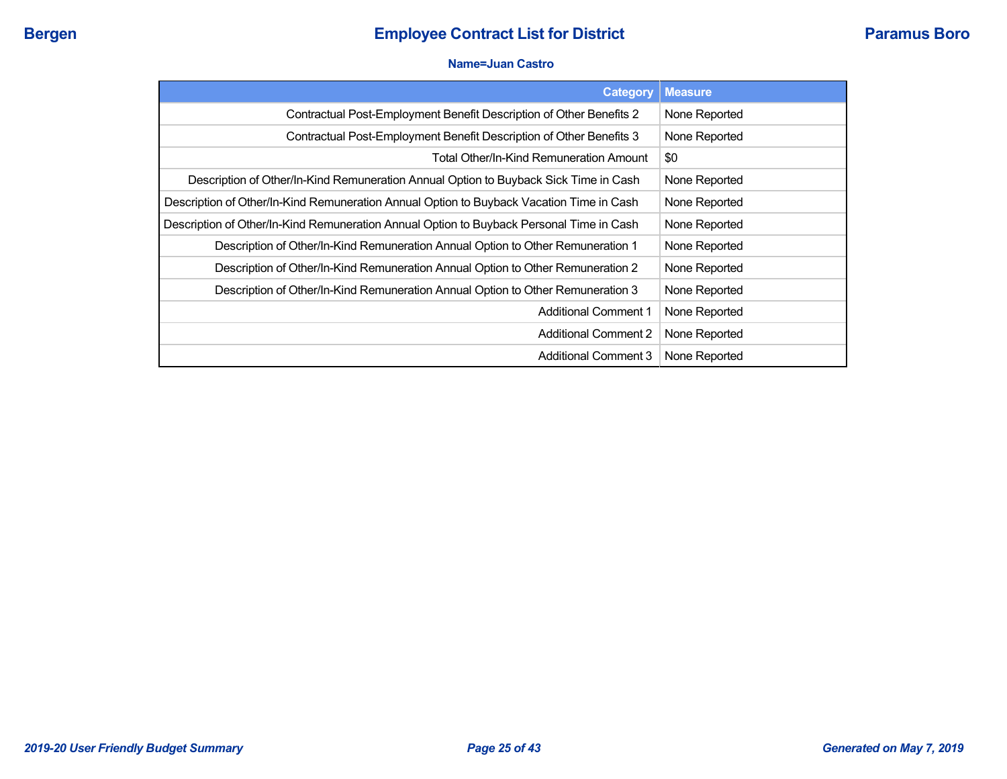#### **Name=Juan Castro**

| <b>Category</b>                                                                          | <b>Measure</b> |
|------------------------------------------------------------------------------------------|----------------|
| Contractual Post-Employment Benefit Description of Other Benefits 2                      | None Reported  |
| Contractual Post-Employment Benefit Description of Other Benefits 3                      | None Reported  |
| Total Other/In-Kind Remuneration Amount                                                  | \$0            |
| Description of Other/In-Kind Remuneration Annual Option to Buyback Sick Time in Cash     | None Reported  |
| Description of Other/In-Kind Remuneration Annual Option to Buyback Vacation Time in Cash | None Reported  |
| Description of Other/In-Kind Remuneration Annual Option to Buyback Personal Time in Cash | None Reported  |
| Description of Other/In-Kind Remuneration Annual Option to Other Remuneration 1          | None Reported  |
| Description of Other/In-Kind Remuneration Annual Option to Other Remuneration 2          | None Reported  |
| Description of Other/In-Kind Remuneration Annual Option to Other Remuneration 3          | None Reported  |
| <b>Additional Comment 1</b>                                                              | None Reported  |
| <b>Additional Comment 2</b>                                                              | None Reported  |
| <b>Additional Comment 3</b>                                                              | None Reported  |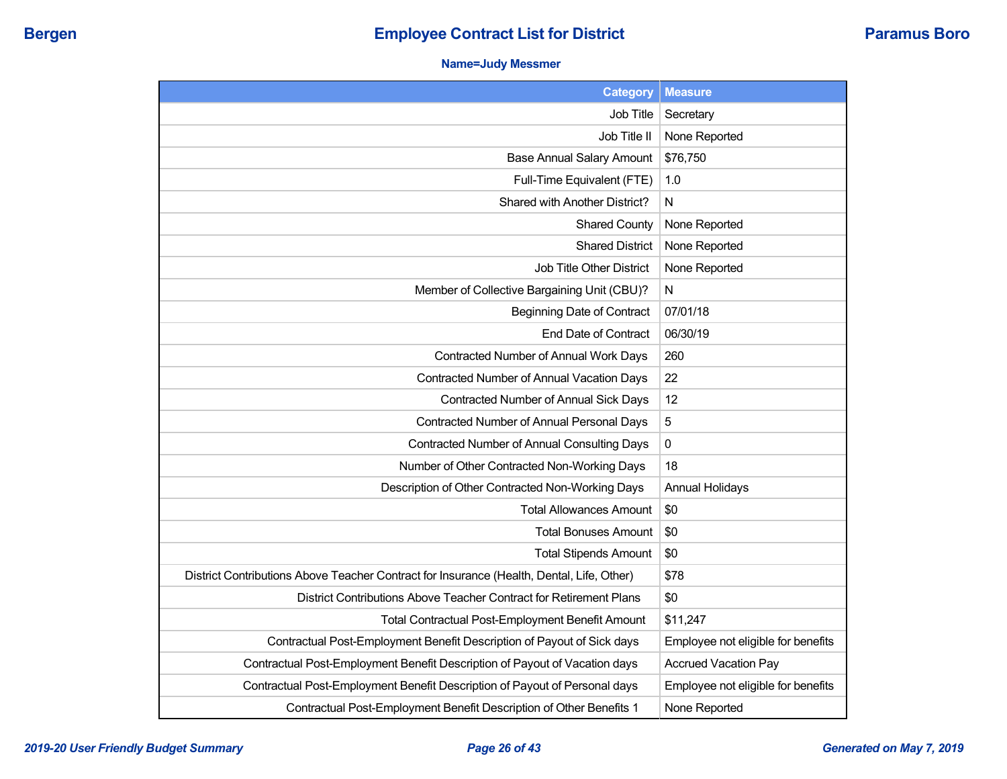### **Name=Judy Messmer**

| <b>Category</b>                                                                           | <b>Measure</b>                     |
|-------------------------------------------------------------------------------------------|------------------------------------|
| Job Title                                                                                 | Secretary                          |
| Job Title II                                                                              | None Reported                      |
| <b>Base Annual Salary Amount</b>                                                          | \$76,750                           |
| Full-Time Equivalent (FTE)                                                                | 1.0                                |
| Shared with Another District?                                                             | N                                  |
| <b>Shared County</b>                                                                      | None Reported                      |
| <b>Shared District</b>                                                                    | None Reported                      |
| Job Title Other District                                                                  | None Reported                      |
| Member of Collective Bargaining Unit (CBU)?                                               | N                                  |
| <b>Beginning Date of Contract</b>                                                         | 07/01/18                           |
| <b>End Date of Contract</b>                                                               | 06/30/19                           |
| Contracted Number of Annual Work Days                                                     | 260                                |
| Contracted Number of Annual Vacation Days                                                 | 22                                 |
| Contracted Number of Annual Sick Days                                                     | 12                                 |
| Contracted Number of Annual Personal Days                                                 | 5                                  |
| Contracted Number of Annual Consulting Days                                               | 0                                  |
| Number of Other Contracted Non-Working Days                                               | 18                                 |
| Description of Other Contracted Non-Working Days                                          | <b>Annual Holidays</b>             |
| <b>Total Allowances Amount</b>                                                            | \$0                                |
| Total Bonuses Amount                                                                      | \$0                                |
| <b>Total Stipends Amount</b>                                                              | \$0                                |
| District Contributions Above Teacher Contract for Insurance (Health, Dental, Life, Other) | \$78                               |
| District Contributions Above Teacher Contract for Retirement Plans                        | \$0                                |
| <b>Total Contractual Post-Employment Benefit Amount</b>                                   | \$11,247                           |
| Contractual Post-Employment Benefit Description of Payout of Sick days                    | Employee not eligible for benefits |
| Contractual Post-Employment Benefit Description of Payout of Vacation days                | <b>Accrued Vacation Pay</b>        |
| Contractual Post-Employment Benefit Description of Payout of Personal days                | Employee not eligible for benefits |
| Contractual Post-Employment Benefit Description of Other Benefits 1                       | None Reported                      |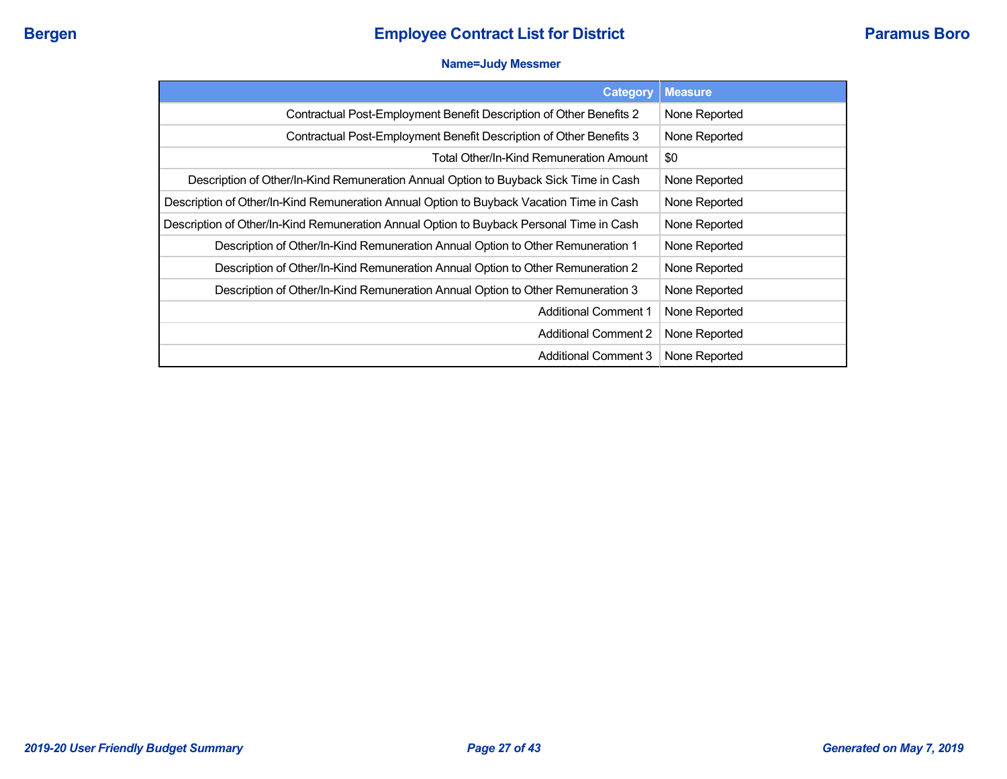#### **Name=Judy Messmer**

| <b>Category</b>                                                                          | <b>Measure</b> |
|------------------------------------------------------------------------------------------|----------------|
| Contractual Post-Employment Benefit Description of Other Benefits 2                      | None Reported  |
| Contractual Post-Employment Benefit Description of Other Benefits 3                      | None Reported  |
| Total Other/In-Kind Remuneration Amount                                                  | \$0            |
| Description of Other/In-Kind Remuneration Annual Option to Buyback Sick Time in Cash     | None Reported  |
| Description of Other/In-Kind Remuneration Annual Option to Buyback Vacation Time in Cash | None Reported  |
| Description of Other/In-Kind Remuneration Annual Option to Buyback Personal Time in Cash | None Reported  |
| Description of Other/In-Kind Remuneration Annual Option to Other Remuneration 1          | None Reported  |
| Description of Other/In-Kind Remuneration Annual Option to Other Remuneration 2          | None Reported  |
| Description of Other/In-Kind Remuneration Annual Option to Other Remuneration 3          | None Reported  |
| <b>Additional Comment 1</b>                                                              | None Reported  |
| <b>Additional Comment 2</b>                                                              | None Reported  |
| <b>Additional Comment 3</b>                                                              | None Reported  |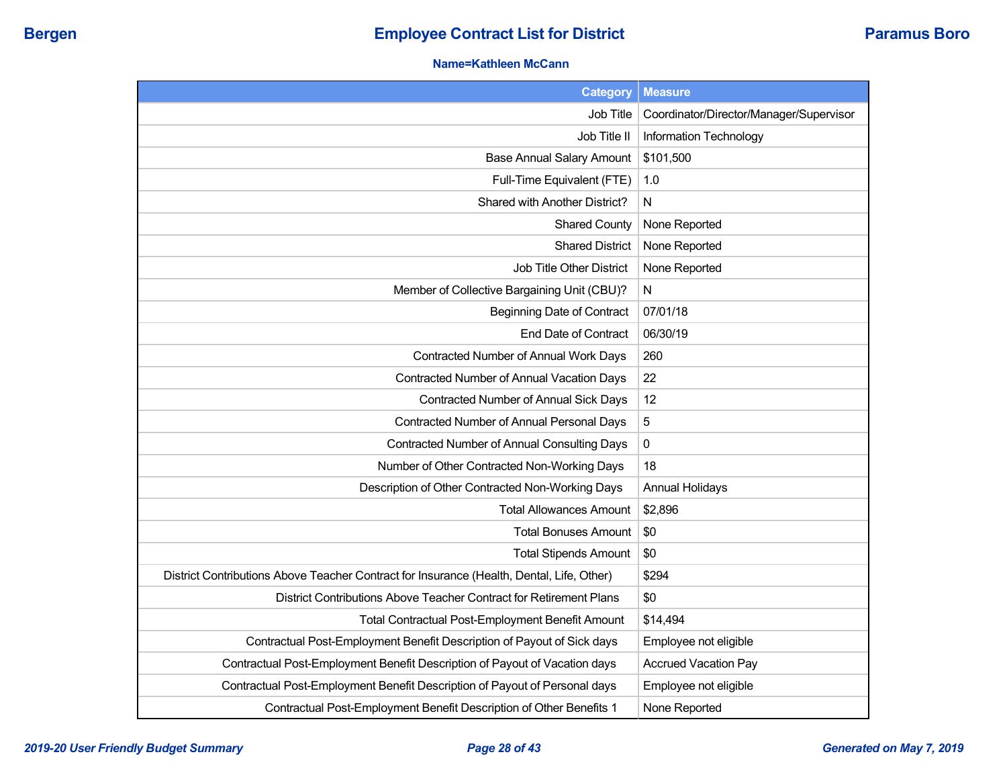## **Name=Kathleen McCann**

| <b>Category</b>                                                                           | <b>Measure</b>                          |
|-------------------------------------------------------------------------------------------|-----------------------------------------|
| Job Title                                                                                 | Coordinator/Director/Manager/Supervisor |
| Job Title II                                                                              | Information Technology                  |
| <b>Base Annual Salary Amount</b>                                                          | \$101,500                               |
| Full-Time Equivalent (FTE)                                                                | 1.0                                     |
| Shared with Another District?                                                             | N                                       |
| <b>Shared County</b>                                                                      | None Reported                           |
| <b>Shared District</b>                                                                    | None Reported                           |
| Job Title Other District                                                                  | None Reported                           |
| Member of Collective Bargaining Unit (CBU)?                                               | N                                       |
| Beginning Date of Contract                                                                | 07/01/18                                |
| End Date of Contract                                                                      | 06/30/19                                |
| Contracted Number of Annual Work Days                                                     | 260                                     |
| Contracted Number of Annual Vacation Days                                                 | 22                                      |
| Contracted Number of Annual Sick Days                                                     | 12                                      |
| Contracted Number of Annual Personal Days                                                 | 5                                       |
| <b>Contracted Number of Annual Consulting Days</b>                                        | $\pmb{0}$                               |
| Number of Other Contracted Non-Working Days                                               | 18                                      |
| Description of Other Contracted Non-Working Days                                          | <b>Annual Holidays</b>                  |
| <b>Total Allowances Amount</b>                                                            | \$2,896                                 |
| <b>Total Bonuses Amount</b>                                                               | \$0                                     |
| <b>Total Stipends Amount</b>                                                              | \$0                                     |
| District Contributions Above Teacher Contract for Insurance (Health, Dental, Life, Other) | \$294                                   |
| District Contributions Above Teacher Contract for Retirement Plans                        | \$0                                     |
| Total Contractual Post-Employment Benefit Amount                                          | \$14,494                                |
| Contractual Post-Employment Benefit Description of Payout of Sick days                    | Employee not eligible                   |
| Contractual Post-Employment Benefit Description of Payout of Vacation days                | <b>Accrued Vacation Pay</b>             |
| Contractual Post-Employment Benefit Description of Payout of Personal days                | Employee not eligible                   |
| Contractual Post-Employment Benefit Description of Other Benefits 1                       | None Reported                           |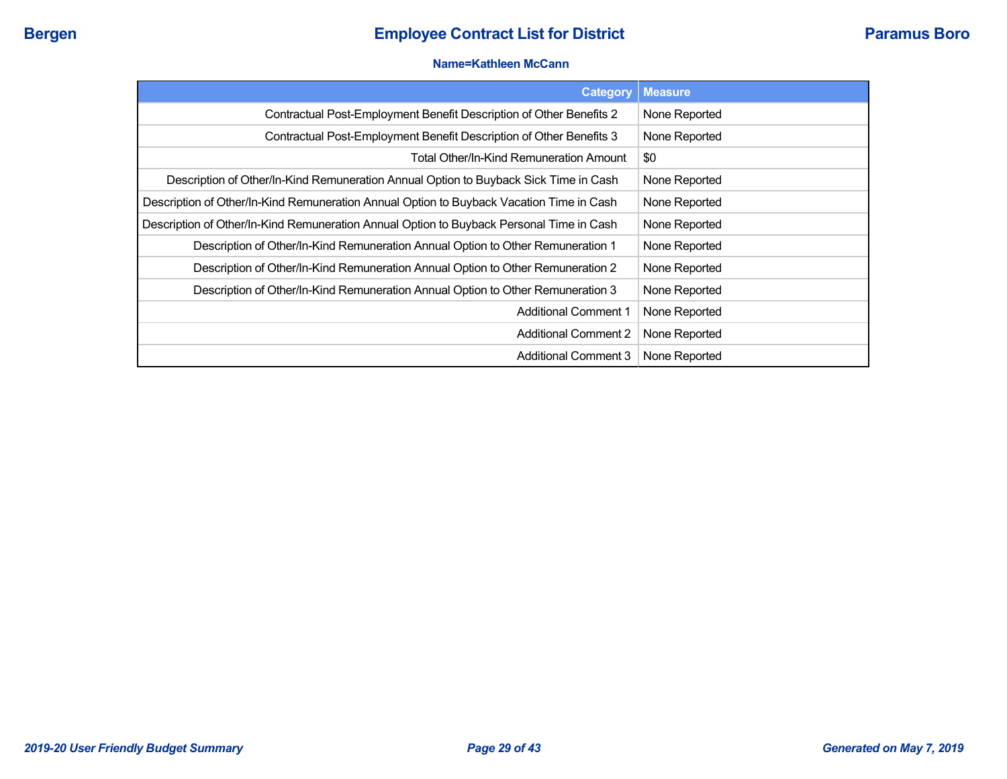#### **Name=Kathleen McCann**

| Category                                                                                 | <b>Measure</b> |
|------------------------------------------------------------------------------------------|----------------|
| Contractual Post-Employment Benefit Description of Other Benefits 2                      | None Reported  |
| Contractual Post-Employment Benefit Description of Other Benefits 3                      | None Reported  |
| Total Other/In-Kind Remuneration Amount                                                  | \$0            |
| Description of Other/In-Kind Remuneration Annual Option to Buyback Sick Time in Cash     | None Reported  |
| Description of Other/In-Kind Remuneration Annual Option to Buyback Vacation Time in Cash | None Reported  |
| Description of Other/In-Kind Remuneration Annual Option to Buyback Personal Time in Cash | None Reported  |
| Description of Other/In-Kind Remuneration Annual Option to Other Remuneration 1          | None Reported  |
| Description of Other/In-Kind Remuneration Annual Option to Other Remuneration 2          | None Reported  |
| Description of Other/In-Kind Remuneration Annual Option to Other Remuneration 3          | None Reported  |
| <b>Additional Comment 1</b>                                                              | None Reported  |
| <b>Additional Comment 2</b>                                                              | None Reported  |
| <b>Additional Comment 3</b>                                                              | None Reported  |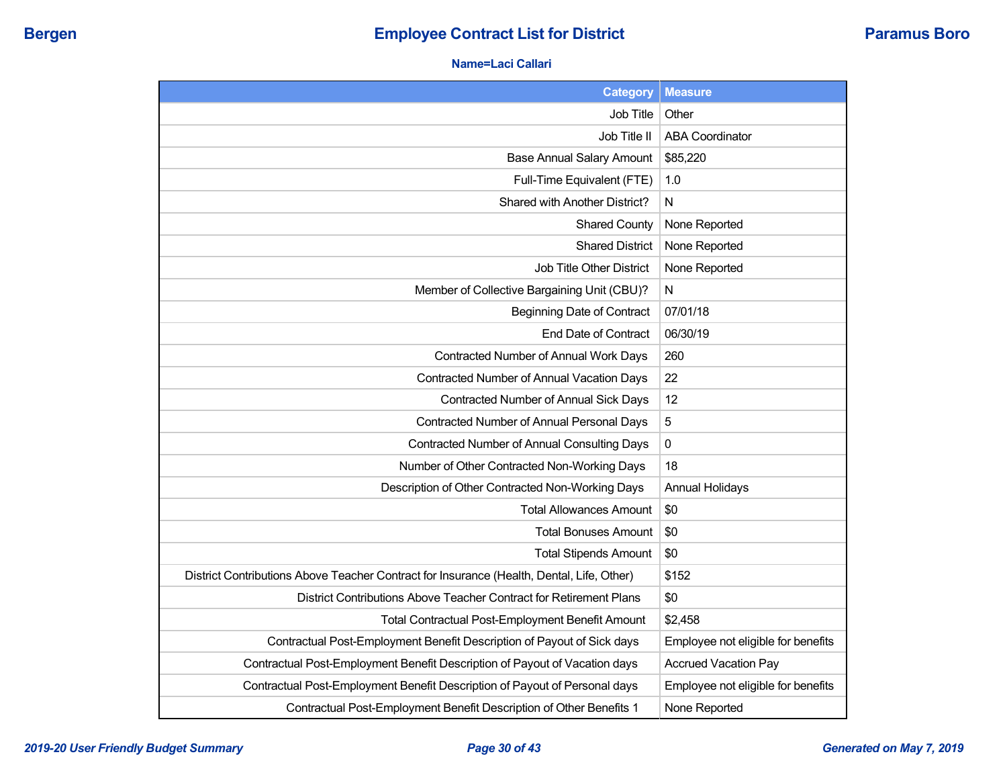#### **Name=Laci Callari**

| <b>Category</b>                                                                           | <b>Measure</b>                     |
|-------------------------------------------------------------------------------------------|------------------------------------|
| <b>Job Title</b>                                                                          | Other                              |
| Job Title II                                                                              | <b>ABA Coordinator</b>             |
| <b>Base Annual Salary Amount</b>                                                          | \$85,220                           |
| Full-Time Equivalent (FTE)                                                                | 1.0                                |
| Shared with Another District?                                                             | N                                  |
| <b>Shared County</b>                                                                      | None Reported                      |
| <b>Shared District</b>                                                                    | None Reported                      |
| <b>Job Title Other District</b>                                                           | None Reported                      |
| Member of Collective Bargaining Unit (CBU)?                                               | N                                  |
| <b>Beginning Date of Contract</b>                                                         | 07/01/18                           |
| End Date of Contract                                                                      | 06/30/19                           |
| Contracted Number of Annual Work Days                                                     | 260                                |
| <b>Contracted Number of Annual Vacation Days</b>                                          | 22                                 |
| Contracted Number of Annual Sick Days                                                     | 12                                 |
| Contracted Number of Annual Personal Days                                                 | 5                                  |
| <b>Contracted Number of Annual Consulting Days</b>                                        | 0                                  |
| Number of Other Contracted Non-Working Days                                               | 18                                 |
| Description of Other Contracted Non-Working Days                                          | <b>Annual Holidays</b>             |
| <b>Total Allowances Amount</b>                                                            | \$0                                |
| <b>Total Bonuses Amount</b>                                                               | \$0                                |
| <b>Total Stipends Amount</b>                                                              | \$0                                |
| District Contributions Above Teacher Contract for Insurance (Health, Dental, Life, Other) | \$152                              |
| District Contributions Above Teacher Contract for Retirement Plans                        | \$0                                |
| <b>Total Contractual Post-Employment Benefit Amount</b>                                   | \$2,458                            |
| Contractual Post-Employment Benefit Description of Payout of Sick days                    | Employee not eligible for benefits |
| Contractual Post-Employment Benefit Description of Payout of Vacation days                | <b>Accrued Vacation Pay</b>        |
| Contractual Post-Employment Benefit Description of Payout of Personal days                | Employee not eligible for benefits |
| Contractual Post-Employment Benefit Description of Other Benefits 1                       | None Reported                      |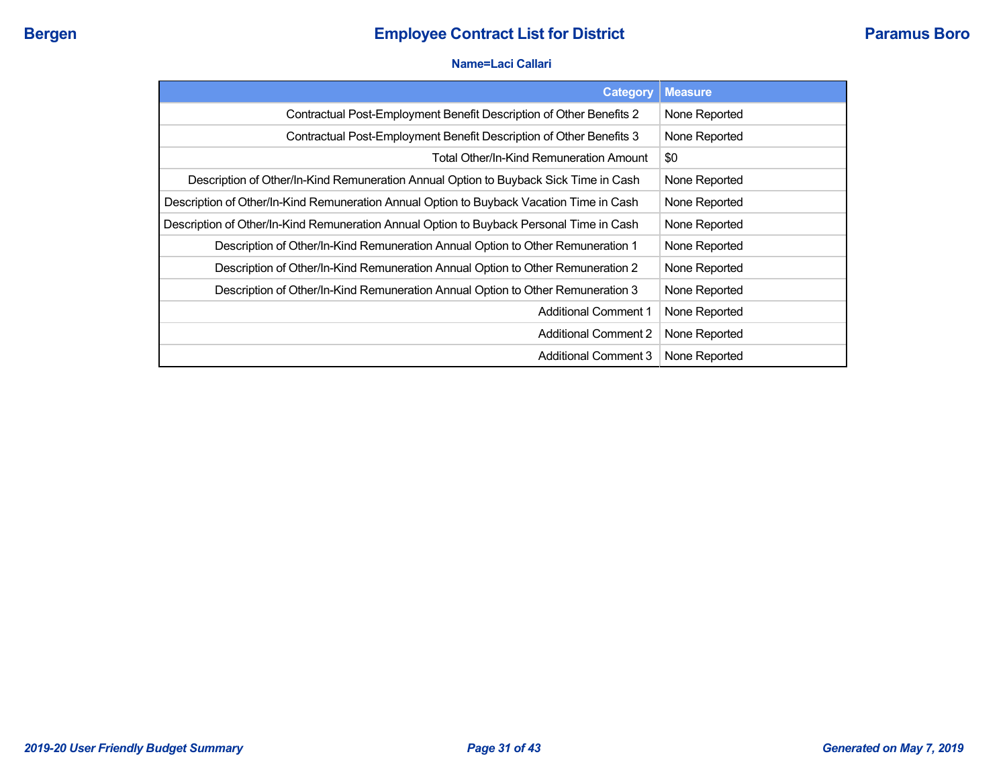#### **Name=Laci Callari**

| <b>Category</b>                                                                          | <b>Measure</b> |
|------------------------------------------------------------------------------------------|----------------|
| Contractual Post-Employment Benefit Description of Other Benefits 2                      | None Reported  |
| Contractual Post-Employment Benefit Description of Other Benefits 3                      | None Reported  |
| Total Other/In-Kind Remuneration Amount                                                  | \$0            |
| Description of Other/In-Kind Remuneration Annual Option to Buyback Sick Time in Cash     | None Reported  |
| Description of Other/In-Kind Remuneration Annual Option to Buyback Vacation Time in Cash | None Reported  |
| Description of Other/In-Kind Remuneration Annual Option to Buyback Personal Time in Cash | None Reported  |
| Description of Other/In-Kind Remuneration Annual Option to Other Remuneration 1          | None Reported  |
| Description of Other/In-Kind Remuneration Annual Option to Other Remuneration 2          | None Reported  |
| Description of Other/In-Kind Remuneration Annual Option to Other Remuneration 3          | None Reported  |
| <b>Additional Comment 1</b>                                                              | None Reported  |
| <b>Additional Comment 2</b>                                                              | None Reported  |
| <b>Additional Comment 3</b>                                                              | None Reported  |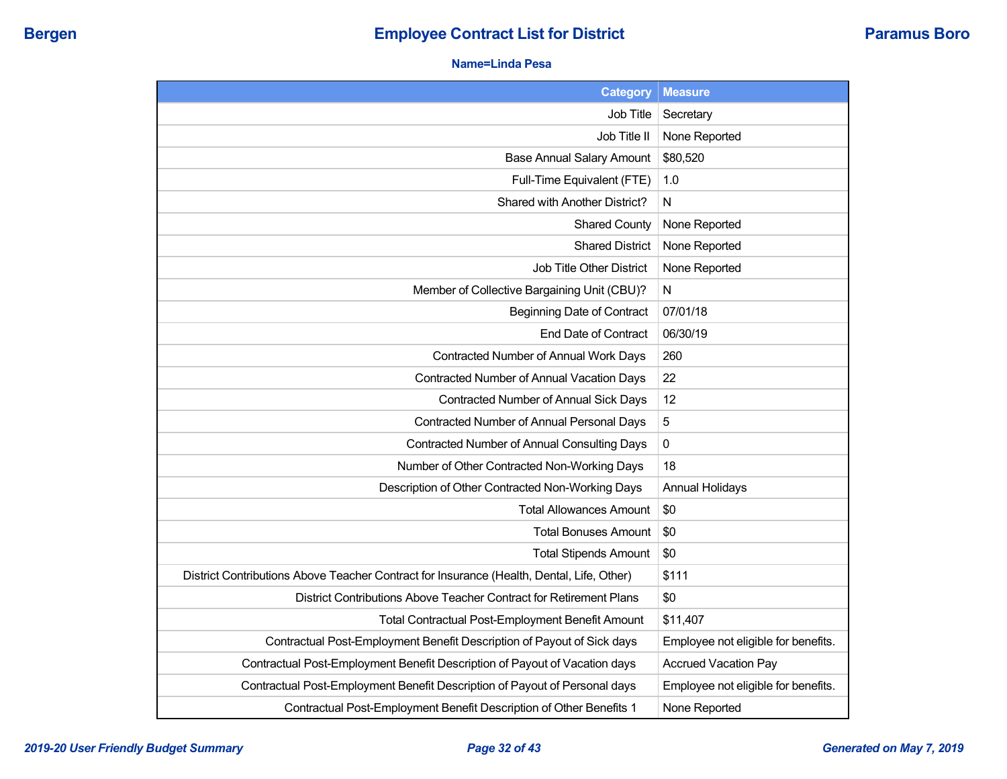## **Name=Linda Pesa**

| <b>Category</b>                                                                           | <b>Measure</b>                      |
|-------------------------------------------------------------------------------------------|-------------------------------------|
| Job Title                                                                                 | Secretary                           |
| Job Title II                                                                              | None Reported                       |
| <b>Base Annual Salary Amount</b>                                                          | \$80,520                            |
| Full-Time Equivalent (FTE)                                                                | 1.0                                 |
| Shared with Another District?                                                             | N                                   |
| <b>Shared County</b>                                                                      | None Reported                       |
| <b>Shared District</b>                                                                    | None Reported                       |
| <b>Job Title Other District</b>                                                           | None Reported                       |
| Member of Collective Bargaining Unit (CBU)?                                               | N                                   |
| Beginning Date of Contract                                                                | 07/01/18                            |
| End Date of Contract                                                                      | 06/30/19                            |
| Contracted Number of Annual Work Days                                                     | 260                                 |
| Contracted Number of Annual Vacation Days                                                 | 22                                  |
| Contracted Number of Annual Sick Days                                                     | 12                                  |
| Contracted Number of Annual Personal Days                                                 | 5                                   |
| Contracted Number of Annual Consulting Days                                               | 0                                   |
| Number of Other Contracted Non-Working Days                                               | 18                                  |
| Description of Other Contracted Non-Working Days                                          | <b>Annual Holidays</b>              |
| <b>Total Allowances Amount</b>                                                            | \$0                                 |
| <b>Total Bonuses Amount</b>                                                               | \$0                                 |
| <b>Total Stipends Amount</b>                                                              | \$0                                 |
| District Contributions Above Teacher Contract for Insurance (Health, Dental, Life, Other) | \$111                               |
| District Contributions Above Teacher Contract for Retirement Plans                        | \$0                                 |
| Total Contractual Post-Employment Benefit Amount                                          | \$11,407                            |
| Contractual Post-Employment Benefit Description of Payout of Sick days                    | Employee not eligible for benefits. |
| Contractual Post-Employment Benefit Description of Payout of Vacation days                | <b>Accrued Vacation Pay</b>         |
| Contractual Post-Employment Benefit Description of Payout of Personal days                | Employee not eligible for benefits. |
| Contractual Post-Employment Benefit Description of Other Benefits 1                       | None Reported                       |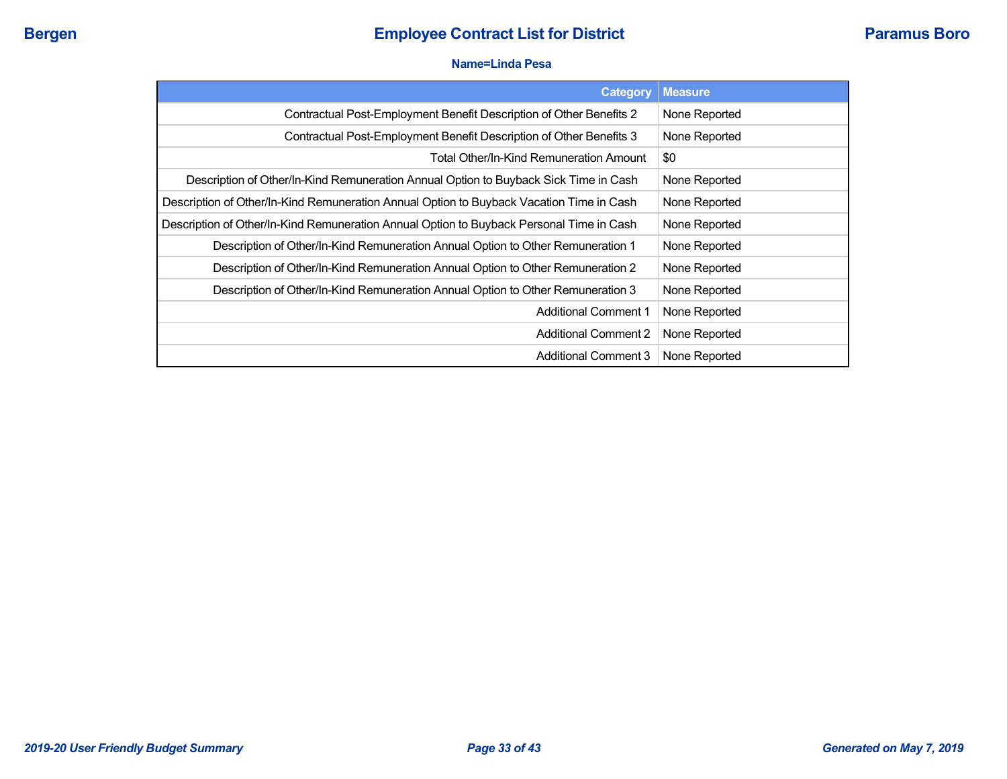#### **Name=Linda Pesa**

| <b>Category</b>                                                                          | <b>Measure</b> |
|------------------------------------------------------------------------------------------|----------------|
| Contractual Post-Employment Benefit Description of Other Benefits 2                      | None Reported  |
| Contractual Post-Employment Benefit Description of Other Benefits 3                      | None Reported  |
| Total Other/In-Kind Remuneration Amount                                                  | \$0            |
| Description of Other/In-Kind Remuneration Annual Option to Buyback Sick Time in Cash     | None Reported  |
| Description of Other/In-Kind Remuneration Annual Option to Buyback Vacation Time in Cash | None Reported  |
| Description of Other/In-Kind Remuneration Annual Option to Buyback Personal Time in Cash | None Reported  |
| Description of Other/In-Kind Remuneration Annual Option to Other Remuneration 1          | None Reported  |
| Description of Other/In-Kind Remuneration Annual Option to Other Remuneration 2          | None Reported  |
| Description of Other/In-Kind Remuneration Annual Option to Other Remuneration 3          | None Reported  |
| <b>Additional Comment 1</b>                                                              | None Reported  |
| <b>Additional Comment 2</b>                                                              | None Reported  |
| <b>Additional Comment 3</b>                                                              | None Reported  |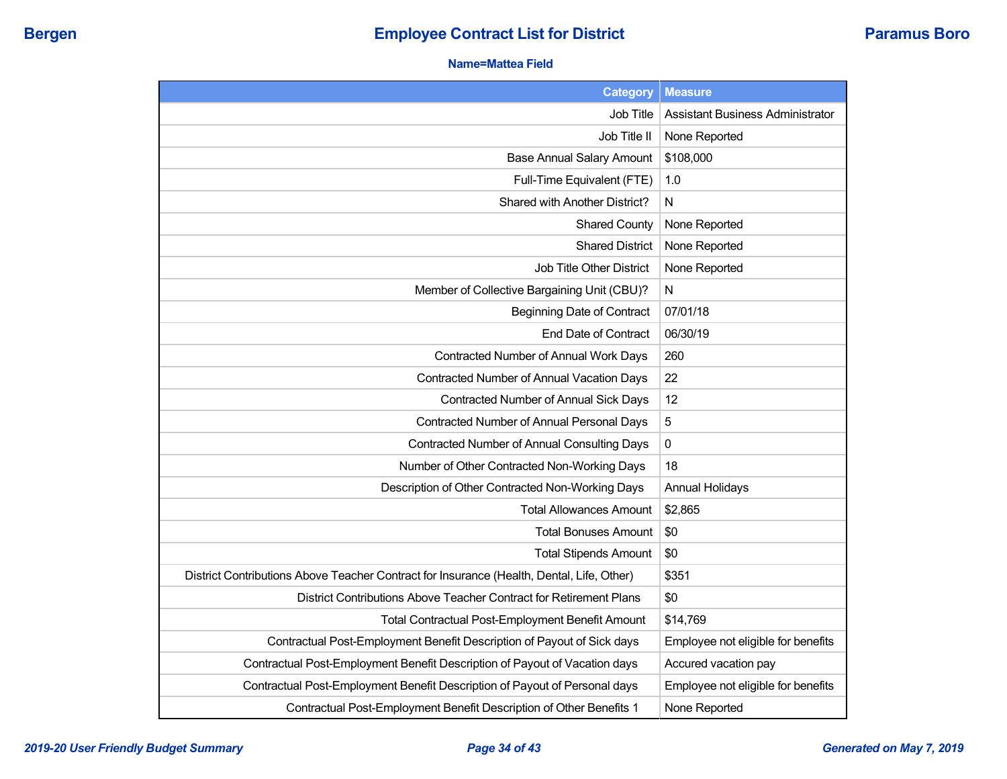## **Name=Mattea Field**

| <b>Category</b>                                                                           | <b>Measure</b>                          |
|-------------------------------------------------------------------------------------------|-----------------------------------------|
| Job Title                                                                                 | <b>Assistant Business Administrator</b> |
| Job Title II                                                                              | None Reported                           |
| <b>Base Annual Salary Amount</b>                                                          | \$108,000                               |
| Full-Time Equivalent (FTE)                                                                | 1.0                                     |
| Shared with Another District?                                                             | N                                       |
| <b>Shared County</b>                                                                      | None Reported                           |
| <b>Shared District</b>                                                                    | None Reported                           |
| Job Title Other District                                                                  | None Reported                           |
| Member of Collective Bargaining Unit (CBU)?                                               | N                                       |
| <b>Beginning Date of Contract</b>                                                         | 07/01/18                                |
| End Date of Contract                                                                      | 06/30/19                                |
| Contracted Number of Annual Work Days                                                     | 260                                     |
| Contracted Number of Annual Vacation Days                                                 | 22                                      |
| <b>Contracted Number of Annual Sick Days</b>                                              | 12                                      |
| Contracted Number of Annual Personal Days                                                 | 5                                       |
| Contracted Number of Annual Consulting Days                                               | 0                                       |
| Number of Other Contracted Non-Working Days                                               | 18                                      |
| Description of Other Contracted Non-Working Days                                          | <b>Annual Holidays</b>                  |
| <b>Total Allowances Amount</b>                                                            | \$2,865                                 |
| <b>Total Bonuses Amount</b>                                                               | \$0                                     |
| <b>Total Stipends Amount</b>                                                              | \$0                                     |
| District Contributions Above Teacher Contract for Insurance (Health, Dental, Life, Other) | \$351                                   |
| District Contributions Above Teacher Contract for Retirement Plans                        | \$0                                     |
| Total Contractual Post-Employment Benefit Amount                                          | \$14,769                                |
| Contractual Post-Employment Benefit Description of Payout of Sick days                    | Employee not eligible for benefits      |
| Contractual Post-Employment Benefit Description of Payout of Vacation days                | Accured vacation pay                    |
| Contractual Post-Employment Benefit Description of Payout of Personal days                | Employee not eligible for benefits      |
| Contractual Post-Employment Benefit Description of Other Benefits 1                       | None Reported                           |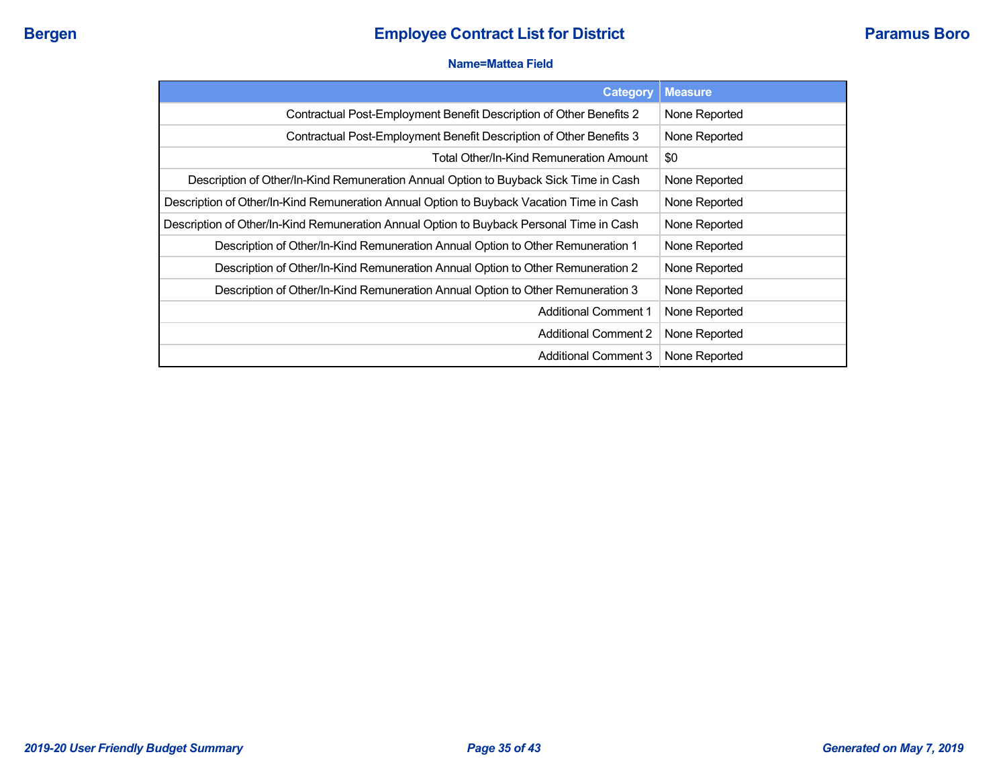#### **Name=Mattea Field**

| <b>Category</b>                                                                          | <b>Measure</b> |
|------------------------------------------------------------------------------------------|----------------|
| Contractual Post-Employment Benefit Description of Other Benefits 2                      | None Reported  |
| Contractual Post-Employment Benefit Description of Other Benefits 3                      | None Reported  |
| <b>Total Other/In-Kind Remuneration Amount</b>                                           | \$0            |
| Description of Other/In-Kind Remuneration Annual Option to Buyback Sick Time in Cash     | None Reported  |
| Description of Other/In-Kind Remuneration Annual Option to Buyback Vacation Time in Cash | None Reported  |
| Description of Other/In-Kind Remuneration Annual Option to Buyback Personal Time in Cash | None Reported  |
| Description of Other/In-Kind Remuneration Annual Option to Other Remuneration 1          | None Reported  |
| Description of Other/In-Kind Remuneration Annual Option to Other Remuneration 2          | None Reported  |
| Description of Other/In-Kind Remuneration Annual Option to Other Remuneration 3          | None Reported  |
| <b>Additional Comment 1</b>                                                              | None Reported  |
| <b>Additional Comment 2</b>                                                              | None Reported  |
| <b>Additional Comment 3</b>                                                              | None Reported  |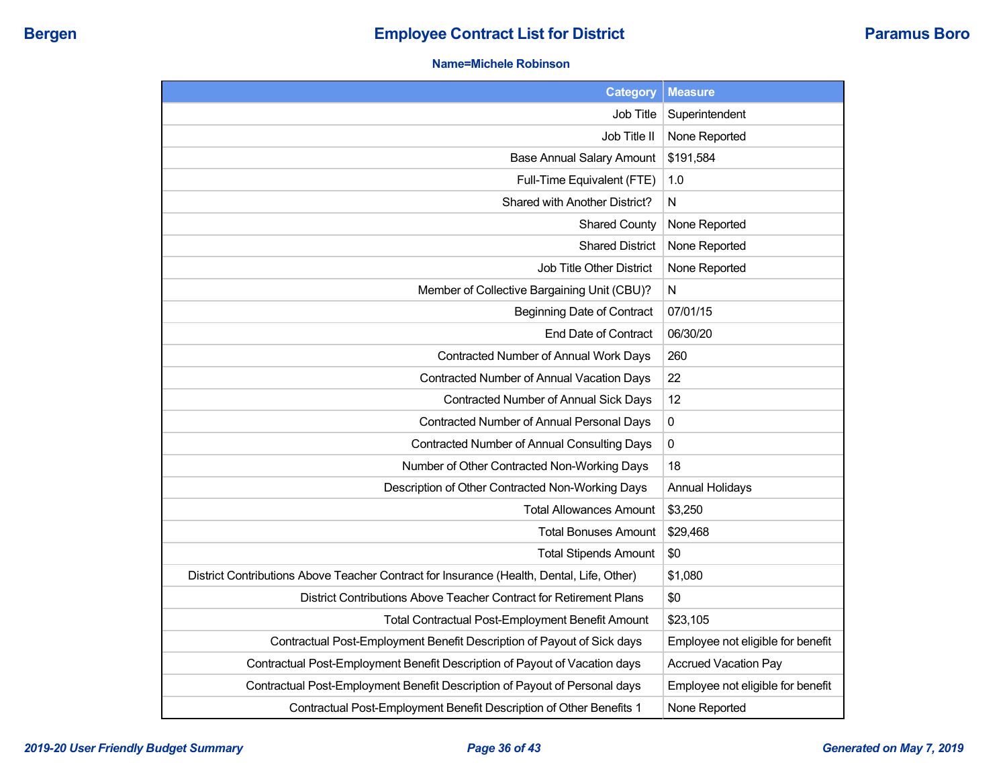#### **Name=Michele Robinson**

| Category                                                                                  | <b>Measure</b>                    |
|-------------------------------------------------------------------------------------------|-----------------------------------|
| Job Title                                                                                 | Superintendent                    |
| Job Title II                                                                              | None Reported                     |
| <b>Base Annual Salary Amount</b>                                                          | \$191,584                         |
| Full-Time Equivalent (FTE)                                                                | 1.0                               |
| Shared with Another District?                                                             | N                                 |
| <b>Shared County</b>                                                                      | None Reported                     |
| <b>Shared District</b>                                                                    | None Reported                     |
| Job Title Other District                                                                  | None Reported                     |
| Member of Collective Bargaining Unit (CBU)?                                               | N                                 |
| <b>Beginning Date of Contract</b>                                                         | 07/01/15                          |
| End Date of Contract                                                                      | 06/30/20                          |
| Contracted Number of Annual Work Days                                                     | 260                               |
| Contracted Number of Annual Vacation Days                                                 | 22                                |
| Contracted Number of Annual Sick Days                                                     | 12                                |
| Contracted Number of Annual Personal Days                                                 | $\pmb{0}$                         |
| Contracted Number of Annual Consulting Days                                               | 0                                 |
| Number of Other Contracted Non-Working Days                                               | 18                                |
| Description of Other Contracted Non-Working Days                                          | <b>Annual Holidays</b>            |
| <b>Total Allowances Amount</b>                                                            | \$3,250                           |
| Total Bonuses Amount                                                                      | \$29,468                          |
| <b>Total Stipends Amount</b>                                                              | \$0                               |
| District Contributions Above Teacher Contract for Insurance (Health, Dental, Life, Other) | \$1,080                           |
| District Contributions Above Teacher Contract for Retirement Plans                        | \$0                               |
| <b>Total Contractual Post-Employment Benefit Amount</b>                                   | \$23,105                          |
| Contractual Post-Employment Benefit Description of Payout of Sick days                    | Employee not eligible for benefit |
| Contractual Post-Employment Benefit Description of Payout of Vacation days                | <b>Accrued Vacation Pay</b>       |
| Contractual Post-Employment Benefit Description of Payout of Personal days                | Employee not eligible for benefit |
| Contractual Post-Employment Benefit Description of Other Benefits 1                       | None Reported                     |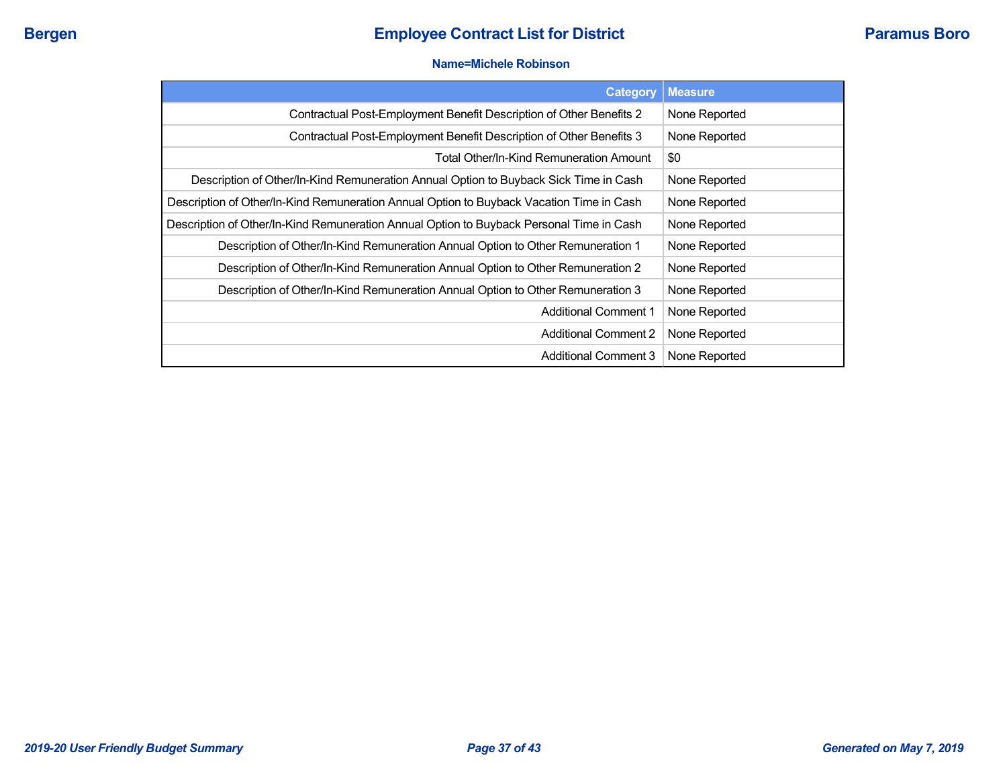#### **Name=Michele Robinson**

| <b>Category</b>                                                                          | <b>Measure</b> |
|------------------------------------------------------------------------------------------|----------------|
| Contractual Post-Employment Benefit Description of Other Benefits 2                      | None Reported  |
| Contractual Post-Employment Benefit Description of Other Benefits 3                      | None Reported  |
| Total Other/In-Kind Remuneration Amount                                                  | \$0            |
| Description of Other/In-Kind Remuneration Annual Option to Buyback Sick Time in Cash     | None Reported  |
| Description of Other/In-Kind Remuneration Annual Option to Buyback Vacation Time in Cash | None Reported  |
| Description of Other/In-Kind Remuneration Annual Option to Buyback Personal Time in Cash | None Reported  |
| Description of Other/In-Kind Remuneration Annual Option to Other Remuneration 1          | None Reported  |
| Description of Other/In-Kind Remuneration Annual Option to Other Remuneration 2          | None Reported  |
| Description of Other/In-Kind Remuneration Annual Option to Other Remuneration 3          | None Reported  |
| <b>Additional Comment 1</b>                                                              | None Reported  |
| <b>Additional Comment 2</b>                                                              | None Reported  |
| <b>Additional Comment 3</b>                                                              | None Reported  |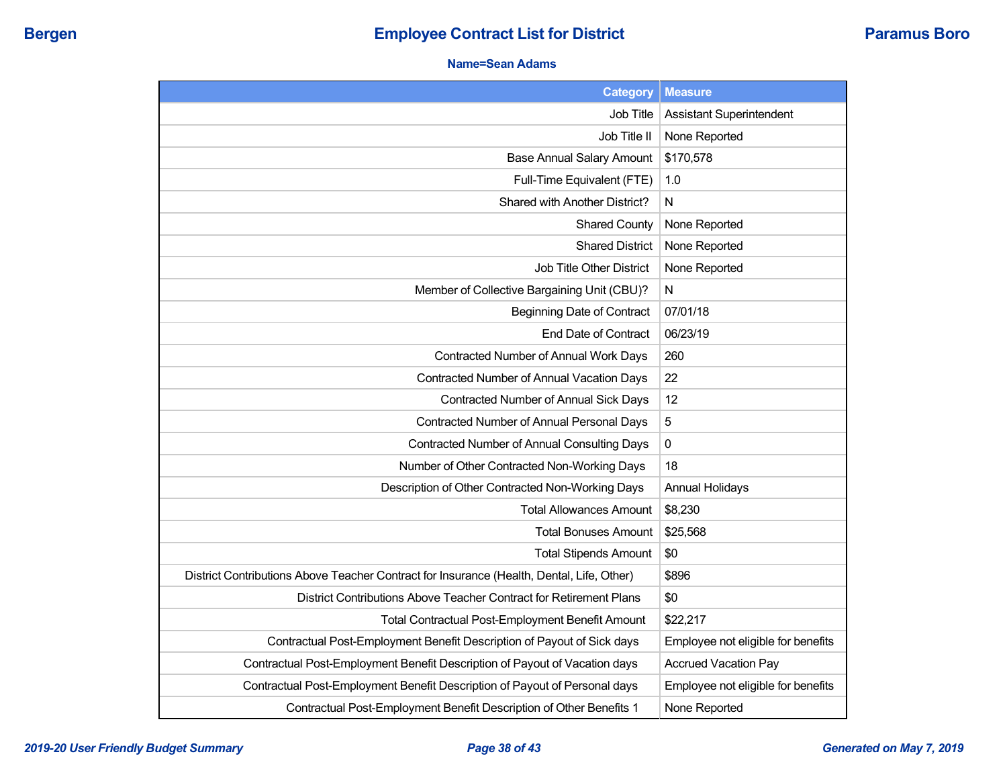## **Name=Sean Adams**

| <b>Category</b>                                                                           | <b>Measure</b>                     |
|-------------------------------------------------------------------------------------------|------------------------------------|
| Job Title                                                                                 | <b>Assistant Superintendent</b>    |
| Job Title II                                                                              | None Reported                      |
| <b>Base Annual Salary Amount</b>                                                          | \$170,578                          |
| Full-Time Equivalent (FTE)                                                                | 1.0                                |
| Shared with Another District?                                                             | N                                  |
| <b>Shared County</b>                                                                      | None Reported                      |
| <b>Shared District</b>                                                                    | None Reported                      |
| Job Title Other District                                                                  | None Reported                      |
| Member of Collective Bargaining Unit (CBU)?                                               | N                                  |
| <b>Beginning Date of Contract</b>                                                         | 07/01/18                           |
| <b>End Date of Contract</b>                                                               | 06/23/19                           |
| Contracted Number of Annual Work Days                                                     | 260                                |
| Contracted Number of Annual Vacation Days                                                 | 22                                 |
| Contracted Number of Annual Sick Days                                                     | 12                                 |
| Contracted Number of Annual Personal Days                                                 | 5                                  |
| Contracted Number of Annual Consulting Days                                               | 0                                  |
| Number of Other Contracted Non-Working Days                                               | 18                                 |
| Description of Other Contracted Non-Working Days                                          | <b>Annual Holidays</b>             |
| <b>Total Allowances Amount</b>                                                            | \$8,230                            |
| <b>Total Bonuses Amount</b>                                                               | \$25,568                           |
| <b>Total Stipends Amount</b>                                                              | \$0                                |
| District Contributions Above Teacher Contract for Insurance (Health, Dental, Life, Other) | \$896                              |
| District Contributions Above Teacher Contract for Retirement Plans                        | \$0                                |
| Total Contractual Post-Employment Benefit Amount                                          | \$22,217                           |
| Contractual Post-Employment Benefit Description of Payout of Sick days                    | Employee not eligible for benefits |
| Contractual Post-Employment Benefit Description of Payout of Vacation days                | <b>Accrued Vacation Pay</b>        |
| Contractual Post-Employment Benefit Description of Payout of Personal days                | Employee not eligible for benefits |
| Contractual Post-Employment Benefit Description of Other Benefits 1                       | None Reported                      |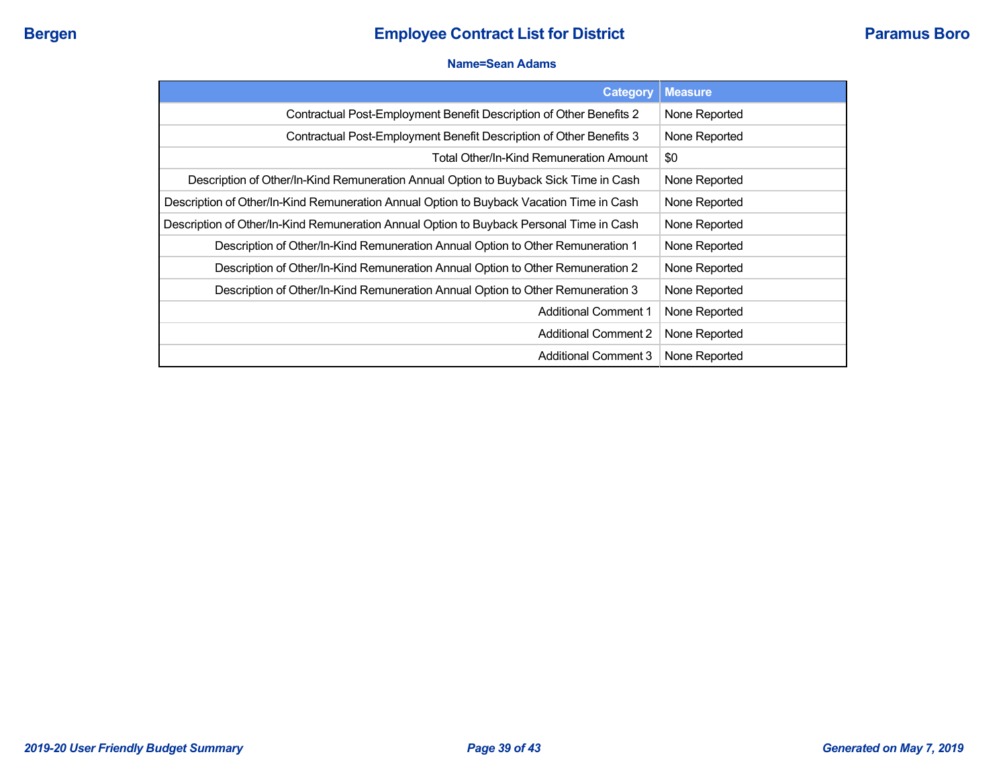#### **Name=Sean Adams**

| <b>Category</b>                                                                          | <b>Measure</b> |
|------------------------------------------------------------------------------------------|----------------|
| Contractual Post-Employment Benefit Description of Other Benefits 2                      | None Reported  |
| Contractual Post-Employment Benefit Description of Other Benefits 3                      | None Reported  |
| Total Other/In-Kind Remuneration Amount                                                  | \$0            |
| Description of Other/In-Kind Remuneration Annual Option to Buyback Sick Time in Cash     | None Reported  |
| Description of Other/In-Kind Remuneration Annual Option to Buyback Vacation Time in Cash | None Reported  |
| Description of Other/In-Kind Remuneration Annual Option to Buyback Personal Time in Cash | None Reported  |
| Description of Other/In-Kind Remuneration Annual Option to Other Remuneration 1          | None Reported  |
| Description of Other/In-Kind Remuneration Annual Option to Other Remuneration 2          | None Reported  |
| Description of Other/In-Kind Remuneration Annual Option to Other Remuneration 3          | None Reported  |
| <b>Additional Comment 1</b>                                                              | None Reported  |
| <b>Additional Comment 2</b>                                                              | None Reported  |
| <b>Additional Comment 3</b>                                                              | None Reported  |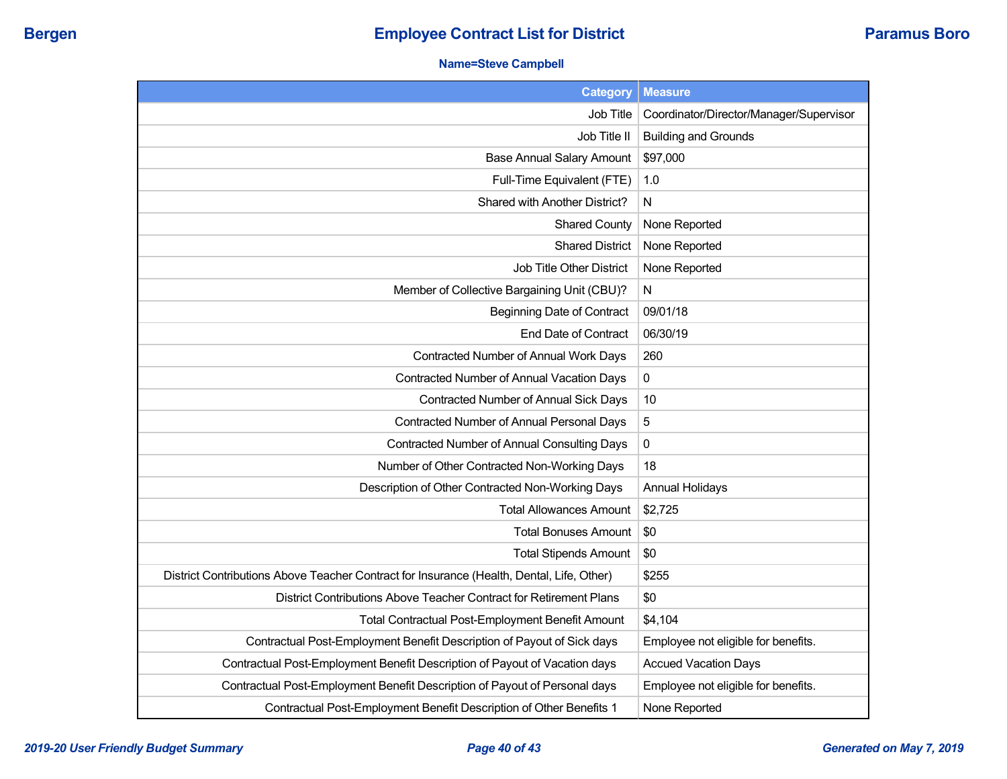## **Name=Steve Campbell**

| <b>Category</b>                                                                           | <b>Measure</b>                          |
|-------------------------------------------------------------------------------------------|-----------------------------------------|
| Job Title                                                                                 | Coordinator/Director/Manager/Supervisor |
| Job Title II                                                                              | <b>Building and Grounds</b>             |
| <b>Base Annual Salary Amount</b>                                                          | \$97,000                                |
| Full-Time Equivalent (FTE)                                                                | 1.0                                     |
| Shared with Another District?                                                             | N                                       |
| <b>Shared County</b>                                                                      | None Reported                           |
| <b>Shared District</b>                                                                    | None Reported                           |
| Job Title Other District                                                                  | None Reported                           |
| Member of Collective Bargaining Unit (CBU)?                                               | N                                       |
| <b>Beginning Date of Contract</b>                                                         | 09/01/18                                |
| End Date of Contract                                                                      | 06/30/19                                |
| Contracted Number of Annual Work Days                                                     | 260                                     |
| Contracted Number of Annual Vacation Days                                                 | $\pmb{0}$                               |
| Contracted Number of Annual Sick Days                                                     | 10                                      |
| Contracted Number of Annual Personal Days                                                 | $\sqrt{5}$                              |
| <b>Contracted Number of Annual Consulting Days</b>                                        | $\pmb{0}$                               |
| Number of Other Contracted Non-Working Days                                               | 18                                      |
| Description of Other Contracted Non-Working Days                                          | <b>Annual Holidays</b>                  |
| <b>Total Allowances Amount</b>                                                            | \$2,725                                 |
| <b>Total Bonuses Amount</b>                                                               | \$0                                     |
| <b>Total Stipends Amount</b>                                                              | \$0                                     |
| District Contributions Above Teacher Contract for Insurance (Health, Dental, Life, Other) | \$255                                   |
| District Contributions Above Teacher Contract for Retirement Plans                        | \$0                                     |
| <b>Total Contractual Post-Employment Benefit Amount</b>                                   | \$4,104                                 |
| Contractual Post-Employment Benefit Description of Payout of Sick days                    | Employee not eligible for benefits.     |
| Contractual Post-Employment Benefit Description of Payout of Vacation days                | <b>Accued Vacation Days</b>             |
| Contractual Post-Employment Benefit Description of Payout of Personal days                | Employee not eligible for benefits.     |
| Contractual Post-Employment Benefit Description of Other Benefits 1                       | None Reported                           |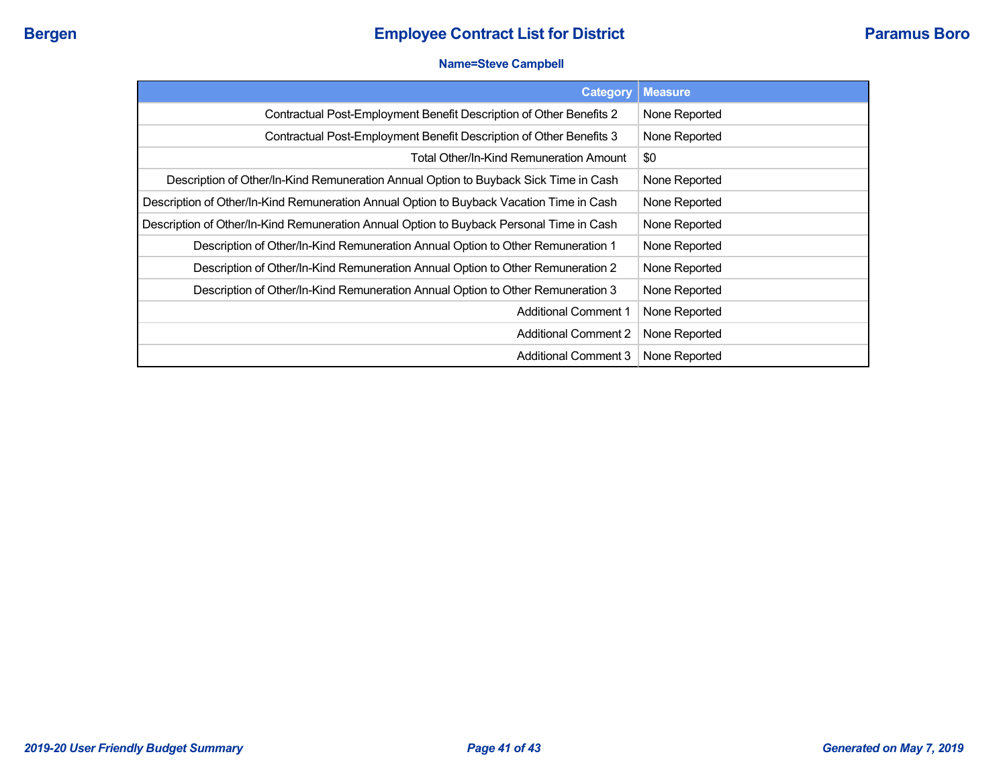### **Name=Steve Campbell**

| Category                                                                                 | <b>Measure</b> |
|------------------------------------------------------------------------------------------|----------------|
| Contractual Post-Employment Benefit Description of Other Benefits 2                      | None Reported  |
| Contractual Post-Employment Benefit Description of Other Benefits 3                      | None Reported  |
| Total Other/In-Kind Remuneration Amount                                                  | \$0            |
| Description of Other/In-Kind Remuneration Annual Option to Buyback Sick Time in Cash     | None Reported  |
| Description of Other/In-Kind Remuneration Annual Option to Buyback Vacation Time in Cash | None Reported  |
| Description of Other/In-Kind Remuneration Annual Option to Buyback Personal Time in Cash | None Reported  |
| Description of Other/In-Kind Remuneration Annual Option to Other Remuneration 1          | None Reported  |
| Description of Other/In-Kind Remuneration Annual Option to Other Remuneration 2          | None Reported  |
| Description of Other/In-Kind Remuneration Annual Option to Other Remuneration 3          | None Reported  |
| <b>Additional Comment 1</b>                                                              | None Reported  |
| <b>Additional Comment 2</b>                                                              | None Reported  |
| Additional Comment 3                                                                     | None Reported  |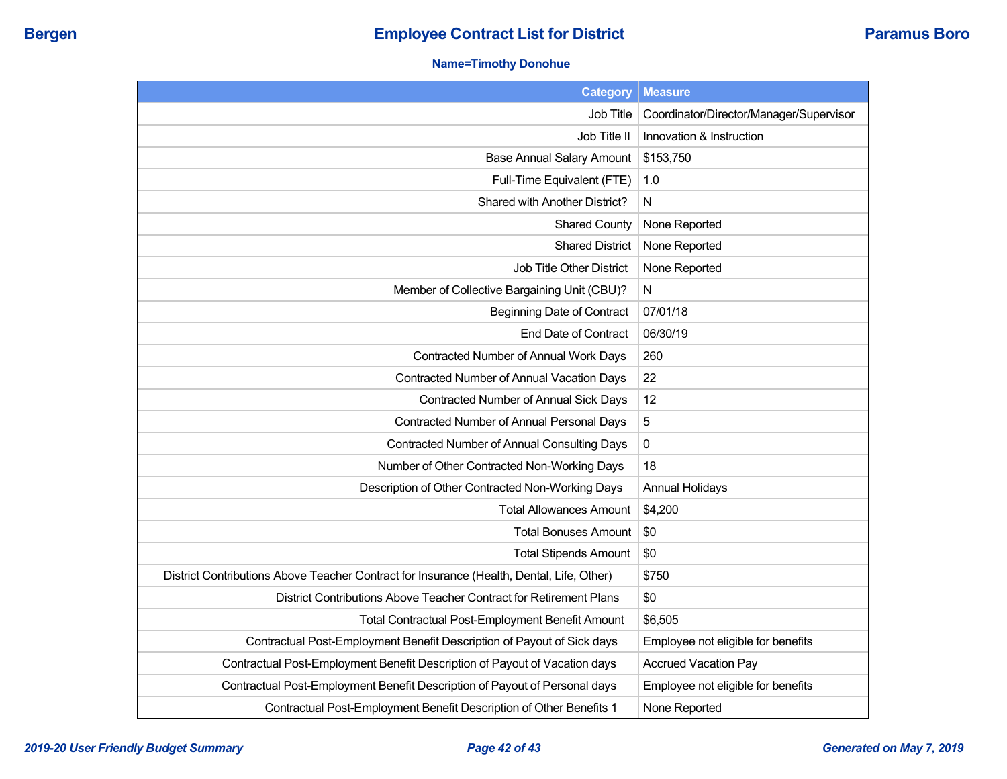## **Name=Timothy Donohue**

| <b>Category</b>                                                                           | <b>Measure</b>                          |
|-------------------------------------------------------------------------------------------|-----------------------------------------|
| Job Title                                                                                 | Coordinator/Director/Manager/Supervisor |
| Job Title II                                                                              | Innovation & Instruction                |
| <b>Base Annual Salary Amount</b>                                                          | \$153,750                               |
| Full-Time Equivalent (FTE)                                                                | 1.0                                     |
| Shared with Another District?                                                             | N.                                      |
| <b>Shared County</b>                                                                      | None Reported                           |
| <b>Shared District</b>                                                                    | None Reported                           |
| <b>Job Title Other District</b>                                                           | None Reported                           |
| Member of Collective Bargaining Unit (CBU)?                                               | N                                       |
| <b>Beginning Date of Contract</b>                                                         | 07/01/18                                |
| End Date of Contract                                                                      | 06/30/19                                |
| Contracted Number of Annual Work Days                                                     | 260                                     |
| Contracted Number of Annual Vacation Days                                                 | 22                                      |
| Contracted Number of Annual Sick Days                                                     | 12                                      |
| Contracted Number of Annual Personal Days                                                 | 5                                       |
| Contracted Number of Annual Consulting Days                                               | $\pmb{0}$                               |
| Number of Other Contracted Non-Working Days                                               | 18                                      |
| Description of Other Contracted Non-Working Days                                          | <b>Annual Holidays</b>                  |
| <b>Total Allowances Amount</b>                                                            | \$4,200                                 |
| <b>Total Bonuses Amount</b>                                                               | \$0                                     |
| <b>Total Stipends Amount</b>                                                              | \$0                                     |
| District Contributions Above Teacher Contract for Insurance (Health, Dental, Life, Other) | \$750                                   |
| District Contributions Above Teacher Contract for Retirement Plans                        | \$0                                     |
| Total Contractual Post-Employment Benefit Amount                                          | \$6,505                                 |
| Contractual Post-Employment Benefit Description of Payout of Sick days                    | Employee not eligible for benefits      |
| Contractual Post-Employment Benefit Description of Payout of Vacation days                | <b>Accrued Vacation Pay</b>             |
| Contractual Post-Employment Benefit Description of Payout of Personal days                | Employee not eligible for benefits      |
| Contractual Post-Employment Benefit Description of Other Benefits 1                       | None Reported                           |